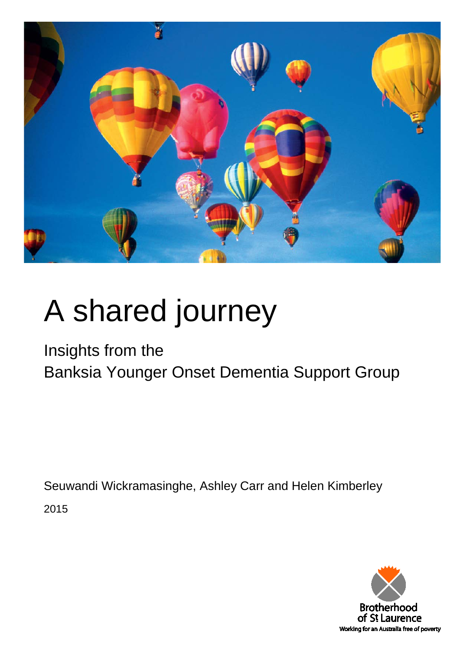

# A shared journey

Insights from the

Banksia Younger Onset Dementia Support Group

Seuwandi Wickramasinghe, Ashley Carr and Helen Kimberley

2015

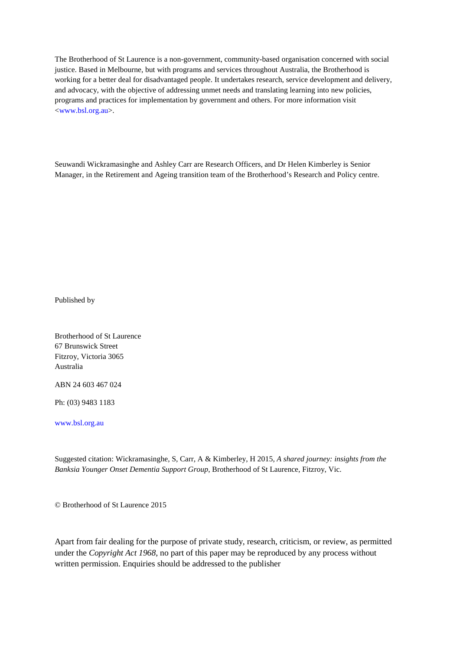The Brotherhood of St Laurence is a non-government, community-based organisation concerned with social justice. Based in Melbourne, but with programs and services throughout Australia, the Brotherhood is working for a better deal for disadvantaged people. It undertakes research, service development and delivery, and advocacy, with the objective of addressing unmet needs and translating learning into new policies, programs and practices for implementation by government and others. For more information visit [<www.bsl.org.au>](http://www.bsl.org.au/).

Seuwandi Wickramasinghe and Ashley Carr are Research Officers, and Dr Helen Kimberley is Senior Manager, in the Retirement and Ageing transition team of the Brotherhood's Research and Policy centre.

Published by

Brotherhood of St Laurence 67 Brunswick Street Fitzroy, Victoria 3065 Australia

ABN 24 603 467 024

Ph: (03) 9483 1183

[www.bsl.org.au](http://www.bsl.org.au/)

Suggested citation: Wickramasinghe, S, Carr, A & Kimberley, H 2015, *A shared journey: insights from the Banksia Younger Onset Dementia Support Group*, Brotherhood of St Laurence, Fitzroy, Vic.

© Brotherhood of St Laurence 2015

Apart from fair dealing for the purpose of private study, research, criticism, or review, as permitted under the *Copyright Act 1968*, no part of this paper may be reproduced by any process without written permission. Enquiries should be addressed to the publisher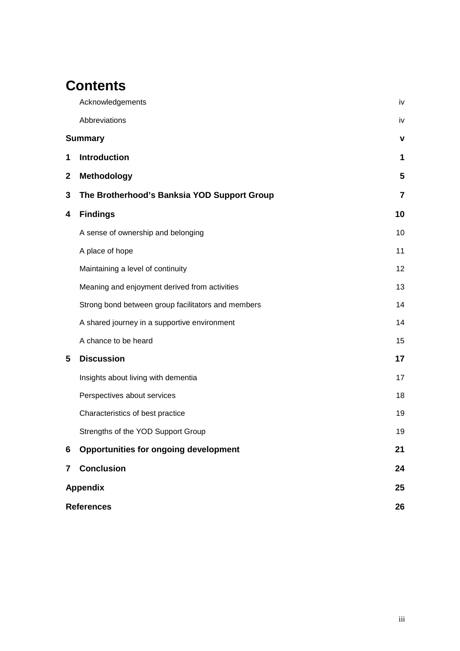# **Contents**

|                         | Acknowledgements                                   | iv |  |
|-------------------------|----------------------------------------------------|----|--|
|                         | Abbreviations                                      | iv |  |
| <b>Summary</b>          | v                                                  |    |  |
| 1                       | <b>Introduction</b>                                | 1  |  |
| $\mathbf{2}$            | <b>Methodology</b>                                 | 5  |  |
| 3                       | The Brotherhood's Banksia YOD Support Group        | 7  |  |
| 4                       | <b>Findings</b>                                    | 10 |  |
|                         | A sense of ownership and belonging                 | 10 |  |
|                         | A place of hope                                    | 11 |  |
|                         | Maintaining a level of continuity                  | 12 |  |
|                         | Meaning and enjoyment derived from activities      | 13 |  |
|                         | Strong bond between group facilitators and members | 14 |  |
|                         | A shared journey in a supportive environment       | 14 |  |
|                         | A chance to be heard                               | 15 |  |
| 5                       | <b>Discussion</b>                                  | 17 |  |
|                         | Insights about living with dementia                | 17 |  |
|                         | Perspectives about services                        | 18 |  |
|                         | Characteristics of best practice                   | 19 |  |
|                         | Strengths of the YOD Support Group                 | 19 |  |
| 6                       | <b>Opportunities for ongoing development</b>       | 21 |  |
| $\overline{\mathbf{7}}$ | <b>Conclusion</b>                                  | 24 |  |
| <b>Appendix</b>         |                                                    |    |  |
| <b>References</b>       |                                                    |    |  |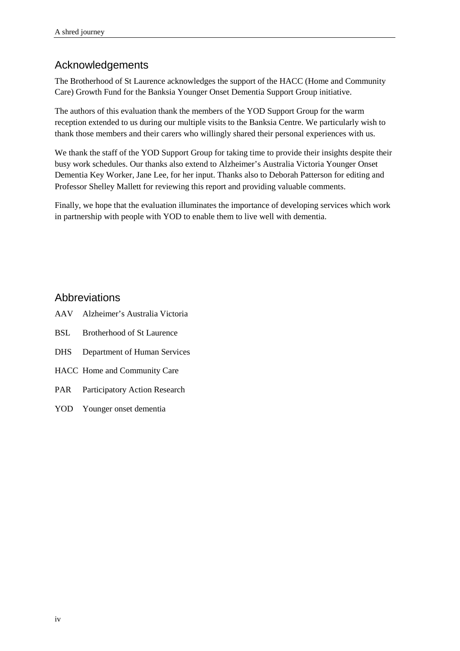## <span id="page-3-0"></span>Acknowledgements

The Brotherhood of St Laurence acknowledges the support of the HACC (Home and Community Care) Growth Fund for the Banksia Younger Onset Dementia Support Group initiative.

The authors of this evaluation thank the members of the YOD Support Group for the warm reception extended to us during our multiple visits to the Banksia Centre. We particularly wish to thank those members and their carers who willingly shared their personal experiences with us.

We thank the staff of the YOD Support Group for taking time to provide their insights despite their busy work schedules. Our thanks also extend to Alzheimer's Australia Victoria Younger Onset Dementia Key Worker, Jane Lee, for her input. Thanks also to Deborah Patterson for editing and Professor Shelley Mallett for reviewing this report and providing valuable comments.

Finally, we hope that the evaluation illuminates the importance of developing services which work in partnership with people with YOD to enable them to live well with dementia.

#### <span id="page-3-1"></span>Abbreviations

- AAV Alzheimer's Australia Victoria
- BSL Brotherhood of St Laurence
- DHS Department of Human Services
- HACC Home and Community Care
- PAR Participatory Action Research
- <span id="page-3-2"></span>YOD Younger onset dementia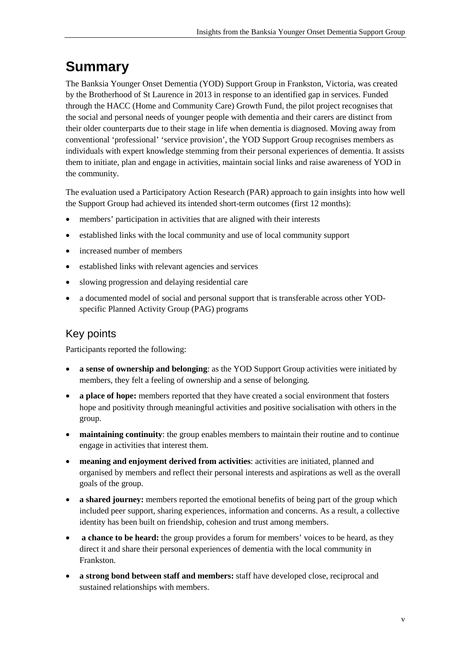# <span id="page-4-0"></span>**Summary**

The Banksia Younger Onset Dementia (YOD) Support Group in Frankston, Victoria, was created by the Brotherhood of St Laurence in 2013 in response to an identified gap in services. Funded through the HACC (Home and Community Care) Growth Fund, the pilot project recognises that the social and personal needs of younger people with dementia and their carers are distinct from their older counterparts due to their stage in life when dementia is diagnosed. Moving away from conventional 'professional' 'service provision', the YOD Support Group recognises members as individuals with expert knowledge stemming from their personal experiences of dementia. It assists them to initiate, plan and engage in activities, maintain social links and raise awareness of YOD in the community.

The evaluation used a Participatory Action Research (PAR) approach to gain insights into how well the Support Group had achieved its intended short-term outcomes (first 12 months):

- members' participation in activities that are aligned with their interests
- established links with the local community and use of local community support
- increased number of members
- established links with relevant agencies and services
- slowing progression and delaying residential care
- a documented model of social and personal support that is transferable across other YODspecific Planned Activity Group (PAG) programs

## Key points

Participants reported the following:

- **a sense of ownership and belonging**: as the YOD Support Group activities were initiated by members, they felt a feeling of ownership and a sense of belonging.
- **a place of hope:** members reported that they have created a social environment that fosters hope and positivity through meaningful activities and positive socialisation with others in the group.
- **maintaining continuity**: the group enables members to maintain their routine and to continue engage in activities that interest them.
- **meaning and enjoyment derived from activities**: activities are initiated, planned and organised by members and reflect their personal interests and aspirations as well as the overall goals of the group.
- **a shared journey:** members reported the emotional benefits of being part of the group which included peer support, sharing experiences, information and concerns. As a result, a collective identity has been built on friendship, cohesion and trust among members.
- **a chance to be heard:** the group provides a forum for members' voices to be heard, as they direct it and share their personal experiences of dementia with the local community in Frankston.
- **a strong bond between staff and members:** staff have developed close, reciprocal and sustained relationships with members.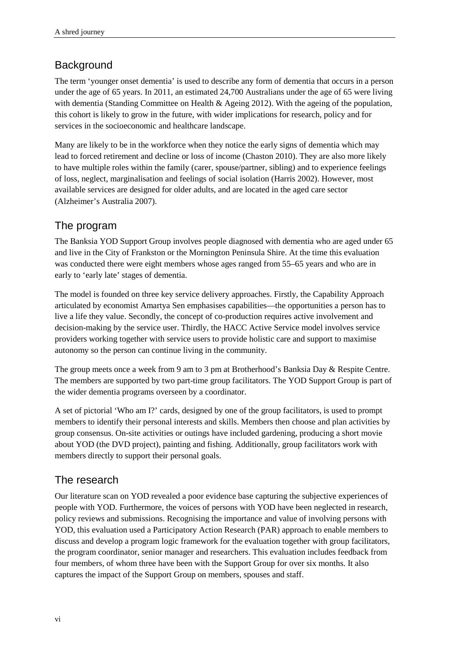## **Background**

The term 'younger onset dementia' is used to describe any form of dementia that occurs in a person under the age of 65 years. In 2011, an estimated 24,700 Australians under the age of 65 were living with dementia (Standing Committee on Health & Ageing 2012). With the ageing of the population, this cohort is likely to grow in the future, with wider implications for research, policy and for services in the socioeconomic and healthcare landscape.

Many are likely to be in the workforce when they notice the early signs of dementia which may lead to forced retirement and decline or loss of income (Chaston 2010). They are also more likely to have multiple roles within the family (carer, spouse/partner, sibling) and to experience feelings of loss, neglect, marginalisation and feelings of social isolation (Harris 2002). However, most available services are designed for older adults, and are located in the aged care sector (Alzheimer's Australia 2007).

## The program

The Banksia YOD Support Group involves people diagnosed with dementia who are aged under 65 and live in the City of Frankston or the Mornington Peninsula Shire. At the time this evaluation was conducted there were eight members whose ages ranged from 55–65 years and who are in early to 'early late' stages of dementia.

The model is founded on three key service delivery approaches. Firstly, the Capability Approach articulated by economist Amartya Sen emphasises capabilities—the opportunities a person has to live a life they value. Secondly, the concept of co-production requires active involvement and decision-making by the service user. Thirdly, the HACC Active Service model involves service providers working together with service users to provide holistic care and support to maximise autonomy so the person can continue living in the community.

The group meets once a week from 9 am to 3 pm at Brotherhood's Banksia Day & Respite Centre. The members are supported by two part-time group facilitators. The YOD Support Group is part of the wider dementia programs overseen by a coordinator.

A set of pictorial 'Who am I?' cards, designed by one of the group facilitators, is used to prompt members to identify their personal interests and skills. Members then choose and plan activities by group consensus. On-site activities or outings have included gardening, producing a short movie about YOD (the DVD project), painting and fishing. Additionally, group facilitators work with members directly to support their personal goals.

## The research

Our literature scan on YOD revealed a poor evidence base capturing the subjective experiences of people with YOD. Furthermore, the voices of persons with YOD have been neglected in research, policy reviews and submissions. Recognising the importance and value of involving persons with YOD, this evaluation used a Participatory Action Research (PAR) approach to enable members to discuss and develop a program logic framework for the evaluation together with group facilitators, the program coordinator, senior manager and researchers. This evaluation includes feedback from four members, of whom three have been with the Support Group for over six months. It also captures the impact of the Support Group on members, spouses and staff.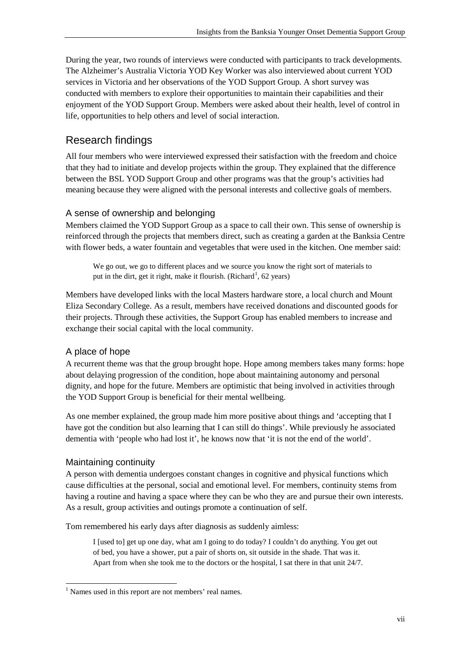During the year, two rounds of interviews were conducted with participants to track developments. The Alzheimer's Australia Victoria YOD Key Worker was also interviewed about current YOD services in Victoria and her observations of the YOD Support Group. A short survey was conducted with members to explore their opportunities to maintain their capabilities and their enjoyment of the YOD Support Group. Members were asked about their health, level of control in life, opportunities to help others and level of social interaction.

## Research findings

All four members who were interviewed expressed their satisfaction with the freedom and choice that they had to initiate and develop projects within the group. They explained that the difference between the BSL YOD Support Group and other programs was that the group's activities had meaning because they were aligned with the personal interests and collective goals of members.

#### A sense of ownership and belonging

Members claimed the YOD Support Group as a space to call their own. This sense of ownership is reinforced through the projects that members direct, such as creating a garden at the Banksia Centre with flower beds, a water fountain and vegetables that were used in the kitchen. One member said:

We go out, we go to different places and we source you know the right sort of materials to put in the dirt, get it right, make it flourish. (Richard<sup>[1](#page-3-2)</sup>, 62 years)

Members have developed links with the local Masters hardware store, a local church and Mount Eliza Secondary College. As a result, members have received donations and discounted goods for their projects. Through these activities, the Support Group has enabled members to increase and exchange their social capital with the local community.

#### A place of hope

A recurrent theme was that the group brought hope. Hope among members takes many forms: hope about delaying progression of the condition, hope about maintaining autonomy and personal dignity, and hope for the future. Members are optimistic that being involved in activities through the YOD Support Group is beneficial for their mental wellbeing.

As one member explained, the group made him more positive about things and 'accepting that I have got the condition but also learning that I can still do things'. While previously he associated dementia with 'people who had lost it', he knows now that 'it is not the end of the world'.

#### Maintaining continuity

A person with dementia undergoes constant changes in cognitive and physical functions which cause difficulties at the personal, social and emotional level. For members, continuity stems from having a routine and having a space where they can be who they are and pursue their own interests. As a result, group activities and outings promote a continuation of self.

Tom remembered his early days after diagnosis as suddenly aimless:

I [used to] get up one day, what am I going to do today? I couldn't do anything. You get out of bed, you have a shower, put a pair of shorts on, sit outside in the shade. That was it. Apart from when she took me to the doctors or the hospital, I sat there in that unit 24/7.

<span id="page-6-0"></span><sup>&</sup>lt;sup>1</sup> Names used in this report are not members' real names.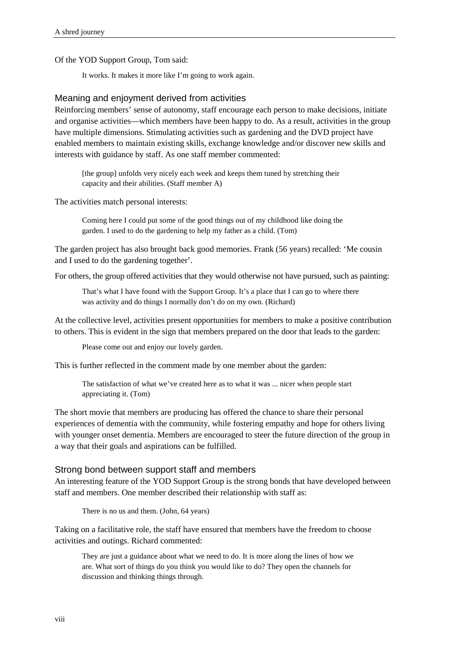Of the YOD Support Group, Tom said:

It works. It makes it more like I'm going to work again.

#### Meaning and enjoyment derived from activities

Reinforcing members' sense of autonomy, staff encourage each person to make decisions, initiate and organise activities—which members have been happy to do. As a result, activities in the group have multiple dimensions. Stimulating activities such as gardening and the DVD project have enabled members to maintain existing skills, exchange knowledge and/or discover new skills and interests with guidance by staff. As one staff member commented:

[the group] unfolds very nicely each week and keeps them tuned by stretching their capacity and their abilities. (Staff member A)

The activities match personal interests:

Coming here I could put some of the good things out of my childhood like doing the garden. I used to do the gardening to help my father as a child. (Tom)

The garden project has also brought back good memories. Frank (56 years) recalled: 'Me cousin and I used to do the gardening together'.

For others, the group offered activities that they would otherwise not have pursued, such as painting:

That's what I have found with the Support Group. It's a place that I can go to where there was activity and do things I normally don't do on my own. (Richard)

At the collective level, activities present opportunities for members to make a positive contribution to others. This is evident in the sign that members prepared on the door that leads to the garden:

Please come out and enjoy our lovely garden.

This is further reflected in the comment made by one member about the garden:

The satisfaction of what we've created here as to what it was ... nicer when people start appreciating it. (Tom)

The short movie that members are producing has offered the chance to share their personal experiences of dementia with the community, while fostering empathy and hope for others living with younger onset dementia. Members are encouraged to steer the future direction of the group in a way that their goals and aspirations can be fulfilled.

#### Strong bond between support staff and members

An interesting feature of the YOD Support Group is the strong bonds that have developed between staff and members. One member described their relationship with staff as:

There is no us and them. (John, 64 years)

Taking on a facilitative role, the staff have ensured that members have the freedom to choose activities and outings. Richard commented:

They are just a guidance about what we need to do. It is more along the lines of how we are. What sort of things do you think you would like to do? They open the channels for discussion and thinking things through.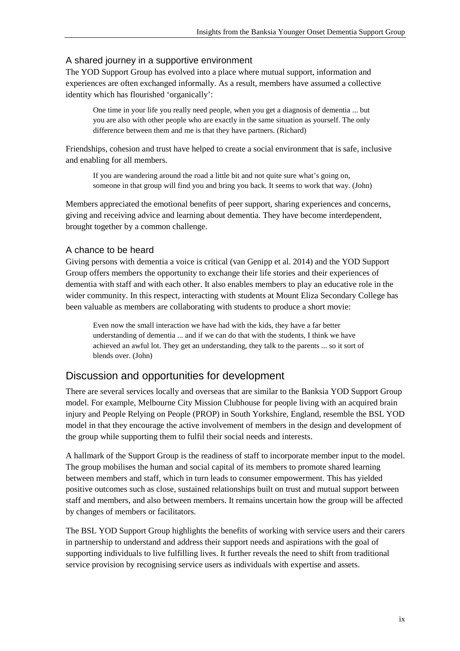#### A shared journey in a supportive environment

The YOD Support Group has evolved into a place where mutual support, information and experiences are often exchanged informally. As a result, members have assumed a collective identity which has flourished 'organically':

One time in your life you really need people, when you get a diagnosis of dementia ... but you are also with other people who are exactly in the same situation as yourself. The only difference between them and me is that they have partners. (Richard)

Friendships, cohesion and trust have helped to create a social environment that is safe, inclusive and enabling for all members.

If you are wandering around the road a little bit and not quite sure what's going on, someone in that group will find you and bring you back. It seems to work that way. (John)

Members appreciated the emotional benefits of peer support, sharing experiences and concerns, giving and receiving advice and learning about dementia. They have become interdependent, brought together by a common challenge.

#### A chance to be heard

Giving persons with dementia a voice is critical (van Genipp et al. 2014) and the YOD Support Group offers members the opportunity to exchange their life stories and their experiences of dementia with staff and with each other. It also enables members to play an educative role in the wider community. In this respect, interacting with students at Mount Eliza Secondary College has been valuable as members are collaborating with students to produce a short movie:

Even now the small interaction we have had with the kids, they have a far better understanding of dementia ... and if we can do that with the students, I think we have achieved an awful lot. They get an understanding, they talk to the parents ... so it sort of blends over. (John)

#### Discussion and opportunities for development

There are several services locally and overseas that are similar to the Banksia YOD Support Group model. For example, Melbourne City Mission Clubhouse for people living with an acquired brain injury and People Relying on People (PROP) in South Yorkshire, England, resemble the BSL YOD model in that they encourage the active involvement of members in the design and development of the group while supporting them to fulfil their social needs and interests.

A hallmark of the Support Group is the readiness of staff to incorporate member input to the model. The group mobilises the human and social capital of its members to promote shared learning between members and staff, which in turn leads to consumer empowerment. This has yielded positive outcomes such as close, sustained relationships built on trust and mutual support between staff and members, and also between members. It remains uncertain how the group will be affected by changes of members or facilitators.

The BSL YOD Support Group highlights the benefits of working with service users and their carers in partnership to understand and address their support needs and aspirations with the goal of supporting individuals to live fulfilling lives. It further reveals the need to shift from traditional service provision by recognising service users as individuals with expertise and assets.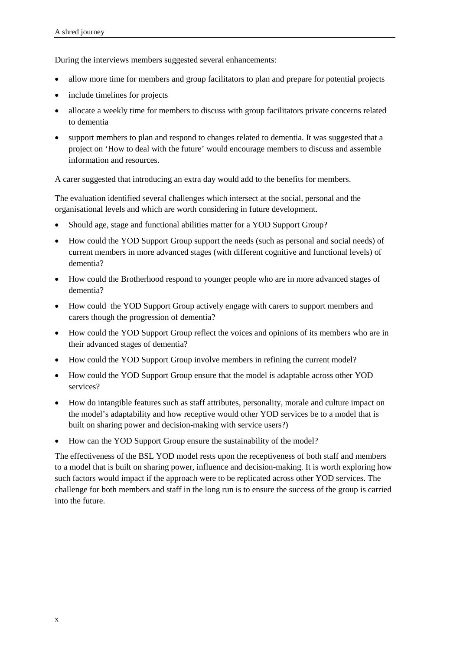During the interviews members suggested several enhancements:

- allow more time for members and group facilitators to plan and prepare for potential projects
- include timelines for projects
- allocate a weekly time for members to discuss with group facilitators private concerns related to dementia
- support members to plan and respond to changes related to dementia. It was suggested that a project on 'How to deal with the future' would encourage members to discuss and assemble information and resources.

A carer suggested that introducing an extra day would add to the benefits for members.

The evaluation identified several challenges which intersect at the social, personal and the organisational levels and which are worth considering in future development.

- Should age, stage and functional abilities matter for a YOD Support Group?
- How could the YOD Support Group support the needs (such as personal and social needs) of current members in more advanced stages (with different cognitive and functional levels) of dementia?
- How could the Brotherhood respond to younger people who are in more advanced stages of dementia?
- How could the YOD Support Group actively engage with carers to support members and carers though the progression of dementia?
- How could the YOD Support Group reflect the voices and opinions of its members who are in their advanced stages of dementia?
- How could the YOD Support Group involve members in refining the current model?
- How could the YOD Support Group ensure that the model is adaptable across other YOD services?
- How do intangible features such as staff attributes, personality, morale and culture impact on the model's adaptability and how receptive would other YOD services be to a model that is built on sharing power and decision-making with service users?)
- How can the YOD Support Group ensure the sustainability of the model?

The effectiveness of the BSL YOD model rests upon the receptiveness of both staff and members to a model that is built on sharing power, influence and decision-making. It is worth exploring how such factors would impact if the approach were to be replicated across other YOD services. The challenge for both members and staff in the long run is to ensure the success of the group is carried into the future.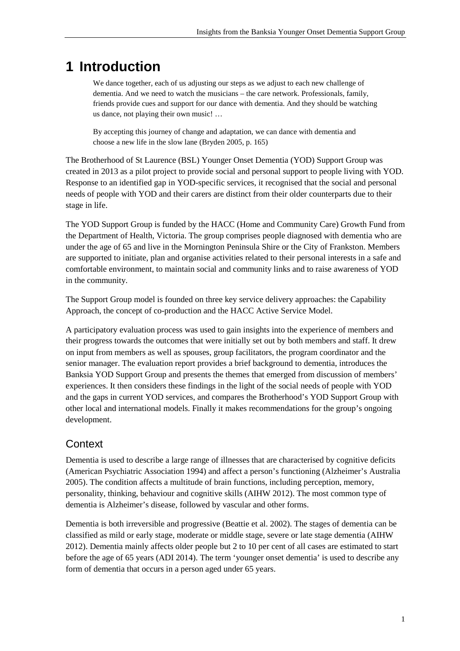## <span id="page-10-0"></span>**1 Introduction**

We dance together, each of us adjusting our steps as we adjust to each new challenge of dementia. And we need to watch the musicians – the care network. Professionals, family, friends provide cues and support for our dance with dementia. And they should be watching us dance, not playing their own music! …

By accepting this journey of change and adaptation, we can dance with dementia and choose a new life in the slow lane (Bryden 2005, p. 165)

The Brotherhood of St Laurence (BSL) Younger Onset Dementia (YOD) Support Group was created in 2013 as a pilot project to provide social and personal support to people living with YOD. Response to an identified gap in YOD-specific services, it recognised that the social and personal needs of people with YOD and their carers are distinct from their older counterparts due to their stage in life.

The YOD Support Group is funded by the HACC (Home and Community Care) Growth Fund from the Department of Health, Victoria. The group comprises people diagnosed with dementia who are under the age of 65 and live in the Mornington Peninsula Shire or the City of Frankston. Members are supported to initiate, plan and organise activities related to their personal interests in a safe and comfortable environment, to maintain social and community links and to raise awareness of YOD in the community.

The Support Group model is founded on three key service delivery approaches: the Capability Approach, the concept of co-production and the HACC Active Service Model.

A participatory evaluation process was used to gain insights into the experience of members and their progress towards the outcomes that were initially set out by both members and staff. It drew on input from members as well as spouses, group facilitators, the program coordinator and the senior manager. The evaluation report provides a brief background to dementia, introduces the Banksia YOD Support Group and presents the themes that emerged from discussion of members' experiences. It then considers these findings in the light of the social needs of people with YOD and the gaps in current YOD services, and compares the Brotherhood's YOD Support Group with other local and international models. Finally it makes recommendations for the group's ongoing development.

## **Context**

Dementia is used to describe a large range of illnesses that are characterised by cognitive deficits (American Psychiatric Association 1994) and affect a person's functioning (Alzheimer's Australia 2005). The condition affects a multitude of brain functions, including perception, memory, personality, thinking, behaviour and cognitive skills (AIHW 2012). The most common type of dementia is Alzheimer's disease, followed by vascular and other forms.

Dementia is both irreversible and progressive (Beattie et al. 2002). The stages of dementia can be classified as mild or early stage, moderate or middle stage, severe or late stage dementia (AIHW 2012). Dementia mainly affects older people but 2 to 10 per cent of all cases are estimated to start before the age of 65 years (ADI 2014). The term 'younger onset dementia' is used to describe any form of dementia that occurs in a person aged under 65 years.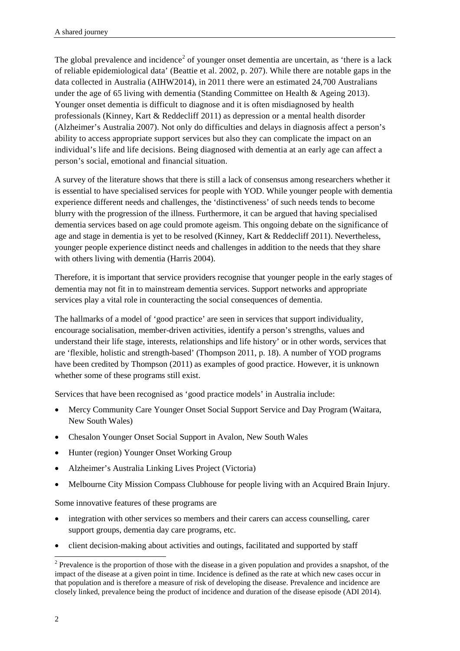The global prevalence and incidence<sup>[2](#page-6-0)</sup> of younger onset dementia are uncertain, as 'there is a lack of reliable epidemiological data' (Beattie et al. 2002, p. 207). While there are notable gaps in the data collected in Australia (AIHW2014), in 2011 there were an estimated 24,700 Australians under the age of 65 living with dementia (Standing Committee on Health & Ageing 2013). Younger onset dementia is difficult to diagnose and it is often misdiagnosed by health professionals (Kinney, Kart & Reddecliff 2011) as depression or a mental health disorder (Alzheimer's Australia 2007). Not only do difficulties and delays in diagnosis affect a person's ability to access appropriate support services but also they can complicate the impact on an individual's life and life decisions. Being diagnosed with dementia at an early age can affect a person's social, emotional and financial situation.

A survey of the literature shows that there is still a lack of consensus among researchers whether it is essential to have specialised services for people with YOD. While younger people with dementia experience different needs and challenges, the 'distinctiveness' of such needs tends to become blurry with the progression of the illness. Furthermore, it can be argued that having specialised dementia services based on age could promote ageism. This ongoing debate on the significance of age and stage in dementia is yet to be resolved (Kinney, Kart & Reddecliff 2011). Nevertheless, younger people experience distinct needs and challenges in addition to the needs that they share with others living with dementia (Harris 2004).

Therefore, it is important that service providers recognise that younger people in the early stages of dementia may not fit in to mainstream dementia services. Support networks and appropriate services play a vital role in counteracting the social consequences of dementia.

The hallmarks of a model of 'good practice' are seen in services that support individuality, encourage socialisation, member-driven activities, identify a person's strengths, values and understand their life stage, interests, relationships and life history' or in other words, services that are 'flexible, holistic and strength-based' (Thompson 2011, p. 18). A number of YOD programs have been credited by Thompson (2011) as examples of good practice. However, it is unknown whether some of these programs still exist.

Services that have been recognised as 'good practice models' in Australia include:

- Mercy Community Care Younger Onset Social Support Service and Day Program (Waitara, New South Wales)
- Chesalon Younger Onset Social Support in Avalon, New South Wales
- Hunter (region) Younger Onset Working Group
- Alzheimer's Australia Linking Lives Project (Victoria)
- Melbourne City Mission Compass Clubhouse for people living with an Acquired Brain Injury.

Some innovative features of these programs are

- integration with other services so members and their carers can access counselling, carer support groups, dementia day care programs, etc.
- client decision-making about activities and outings, facilitated and supported by staff

<span id="page-11-0"></span><sup>&</sup>lt;sup>2</sup> Prevalence is the proportion of those with the disease in a given population and provides a snapshot, of the impact of the disease at a given point in time. Incidence is defined as the rate at which new cases occur in that population and is therefore a measure of risk of developing the disease. Prevalence and incidence are closely linked, prevalence being the product of incidence and duration of the disease episode (ADI 2014).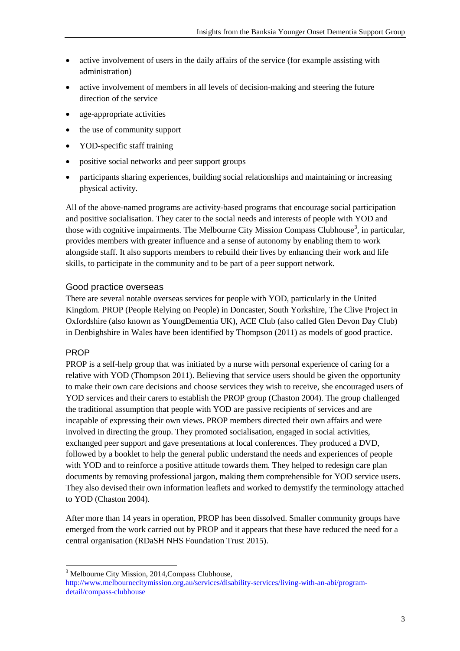- active involvement of users in the daily affairs of the service (for example assisting with administration)
- active involvement of members in all levels of decision-making and steering the future direction of the service
- age-appropriate activities
- the use of community support
- YOD-specific staff training
- positive social networks and peer support groups
- participants sharing experiences, building social relationships and maintaining or increasing physical activity.

All of the above-named programs are activity-based programs that encourage social participation and positive socialisation. They cater to the social needs and interests of people with YOD and those with cognitive impairments. The Melbourne City Mission Compass Clubhouse<sup>[3](#page-11-0)</sup>, in particular, provides members with greater influence and a sense of autonomy by enabling them to work alongside staff. It also supports members to rebuild their lives by enhancing their work and life skills, to participate in the community and to be part of a peer support network.

#### Good practice overseas

There are several notable overseas services for people with YOD, particularly in the United Kingdom. PROP (People Relying on People) in Doncaster, South Yorkshire, The Clive Project in Oxfordshire (also known as YoungDementia UK), ACE Club (also called Glen Devon Day Club) in Denbighshire in Wales have been identified by Thompson (2011) as models of good practice.

#### PROP

PROP is a self-help group that was initiated by a nurse with personal experience of caring for a relative with YOD (Thompson 2011). Believing that service users should be given the opportunity to make their own care decisions and choose services they wish to receive, she encouraged users of YOD services and their carers to establish the PROP group (Chaston 2004). The group challenged the traditional assumption that people with YOD are passive recipients of services and are incapable of expressing their own views. PROP members directed their own affairs and were involved in directing the group. They promoted socialisation, engaged in social activities, exchanged peer support and gave presentations at local conferences. They produced a DVD, followed by a booklet to help the general public understand the needs and experiences of people with YOD and to reinforce a positive attitude towards them. They helped to redesign care plan documents by removing professional jargon, making them comprehensible for YOD service users. They also devised their own information leaflets and worked to demystify the terminology attached to YOD (Chaston 2004).

After more than 14 years in operation, PROP has been dissolved. Smaller community groups have emerged from the work carried out by PROP and it appears that these have reduced the need for a central organisation (RDaSH NHS Foundation Trust 2015).

<sup>&</sup>lt;sup>3</sup> Melbourne City Mission, 2014, Compass Clubhouse,

<span id="page-12-0"></span>[http://www.melbournecitymission.org.au/services/disability-services/living-with-an-abi/program](http://www.melbournecitymission.org.au/services/disability-services/living-with-an-abi/program-detail/compass-clubhouse)[detail/compass-clubhouse](http://www.melbournecitymission.org.au/services/disability-services/living-with-an-abi/program-detail/compass-clubhouse)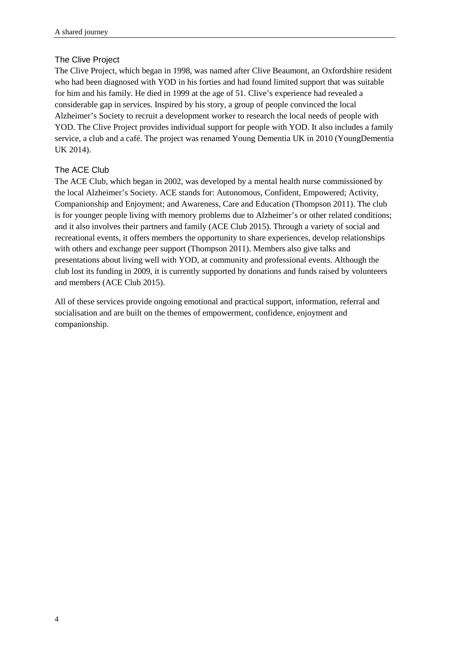#### The Clive Project

The Clive Project, which began in 1998, was named after Clive Beaumont, an Oxfordshire resident who had been diagnosed with YOD in his forties and had found limited support that was suitable for him and his family. He died in 1999 at the age of 51. Clive's experience had revealed a considerable gap in services. Inspired by his story, a group of people convinced the local Alzheimer's Society to recruit a development worker to research the local needs of people with YOD. The Clive Project provides individual support for people with YOD. It also includes a family service, a club and a café. The project was renamed Young Dementia UK in 2010 (YoungDementia UK 2014).

#### The ACE Club

The ACE Club, which began in 2002, was developed by a mental health nurse commissioned by the local Alzheimer's Society. ACE stands for: Autonomous, Confident, Empowered; Activity, Companionship and Enjoyment; and Awareness, Care and Education (Thompson 2011). The club is for younger people living with memory problems due to Alzheimer's or other related conditions; and it also involves their partners and family (ACE Club 2015). Through a variety of social and recreational events, it offers members the opportunity to share experiences, develop relationships with others and exchange peer support (Thompson 2011). Members also give talks and presentations about living well with YOD, at community and professional events. Although the club lost its funding in 2009, it is currently supported by donations and funds raised by volunteers and members (ACE Club 2015).

All of these services provide ongoing emotional and practical support, information, referral and socialisation and are built on the themes of empowerment, confidence, enjoyment and companionship.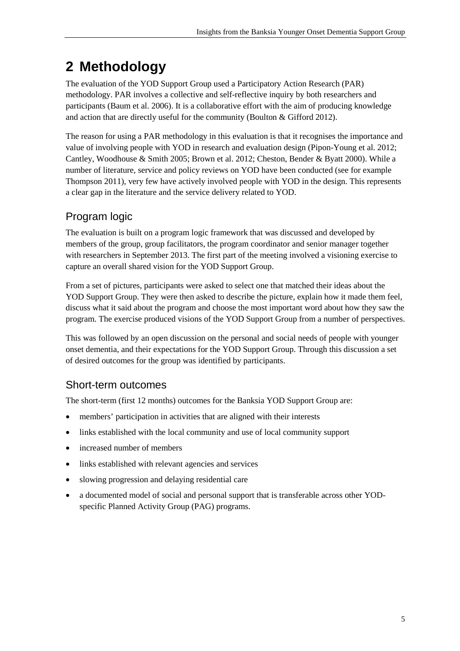# <span id="page-14-0"></span>**2 Methodology**

The evaluation of the YOD Support Group used a Participatory Action Research (PAR) methodology. PAR involves a collective and self-reflective inquiry by both researchers and participants (Baum et al. 2006). It is a collaborative effort with the aim of producing knowledge and action that are directly useful for the community (Boulton & Gifford 2012).

The reason for using a PAR methodology in this evaluation is that it recognises the importance and value of involving people with YOD in research and evaluation design (Pipon-Young et al. 2012; Cantley, Woodhouse & Smith 2005; Brown et al. 2012; Cheston, Bender & Byatt 2000). While a number of literature, service and policy reviews on YOD have been conducted (see for example Thompson 2011), very few have actively involved people with YOD in the design. This represents a clear gap in the literature and the service delivery related to YOD.

## Program logic

The evaluation is built on a program logic framework that was discussed and developed by members of the group, group facilitators, the program coordinator and senior manager together with researchers in September 2013. The first part of the meeting involved a visioning exercise to capture an overall shared vision for the YOD Support Group.

From a set of pictures, participants were asked to select one that matched their ideas about the YOD Support Group. They were then asked to describe the picture, explain how it made them feel, discuss what it said about the program and choose the most important word about how they saw the program. The exercise produced visions of the YOD Support Group from a number of perspectives.

This was followed by an open discussion on the personal and social needs of people with younger onset dementia, and their expectations for the YOD Support Group. Through this discussion a set of desired outcomes for the group was identified by participants.

## Short-term outcomes

The short-term (first 12 months) outcomes for the Banksia YOD Support Group are:

- members' participation in activities that are aligned with their interests
- links established with the local community and use of local community support
- increased number of members
- links established with relevant agencies and services
- slowing progression and delaying residential care
- a documented model of social and personal support that is transferable across other YODspecific Planned Activity Group (PAG) programs.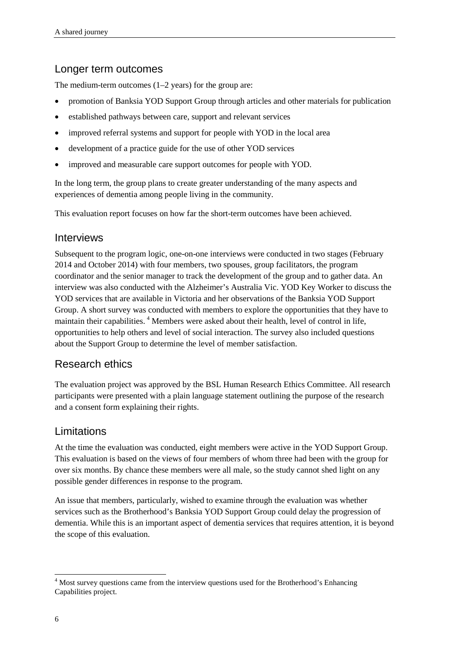#### Longer term outcomes

The medium-term outcomes (1–2 years) for the group are:

- promotion of Banksia YOD Support Group through articles and other materials for publication
- established pathways between care, support and relevant services
- improved referral systems and support for people with YOD in the local area
- development of a practice guide for the use of other YOD services
- improved and measurable care support outcomes for people with YOD.

In the long term, the group plans to create greater understanding of the many aspects and experiences of dementia among people living in the community.

This evaluation report focuses on how far the short-term outcomes have been achieved.

#### Interviews

Subsequent to the program logic, one-on-one interviews were conducted in two stages (February 2014 and October 2014) with four members, two spouses, group facilitators, the program coordinator and the senior manager to track the development of the group and to gather data. An interview was also conducted with the Alzheimer's Australia Vic. YOD Key Worker to discuss the YOD services that are available in Victoria and her observations of the Banksia YOD Support Group. A short survey was conducted with members to explore the opportunities that they have to maintain their capabilities.<sup>[4](#page-12-0)</sup> Members were asked about their health, level of control in life, opportunities to help others and level of social interaction. The survey also included questions about the Support Group to determine the level of member satisfaction.

#### Research ethics

The evaluation project was approved by the BSL Human Research Ethics Committee. All research participants were presented with a plain language statement outlining the purpose of the research and a consent form explaining their rights.

#### Limitations

At the time the evaluation was conducted, eight members were active in the YOD Support Group. This evaluation is based on the views of four members of whom three had been with the group for over six months. By chance these members were all male, so the study cannot shed light on any possible gender differences in response to the program.

An issue that members, particularly, wished to examine through the evaluation was whether services such as the Brotherhood's Banksia YOD Support Group could delay the progression of dementia. While this is an important aspect of dementia services that requires attention, it is beyond the scope of this evaluation.

<span id="page-15-0"></span><sup>&</sup>lt;sup>4</sup> Most survey questions came from the interview questions used for the Brotherhood's Enhancing Capabilities project.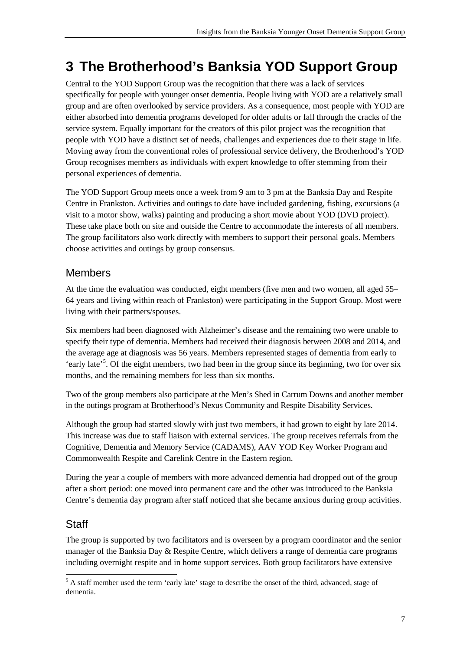# <span id="page-16-0"></span>**3 The Brotherhood's Banksia YOD Support Group**

Central to the YOD Support Group was the recognition that there was a lack of services specifically for people with younger onset dementia. People living with YOD are a relatively small group and are often overlooked by service providers. As a consequence, most people with YOD are either absorbed into dementia programs developed for older adults or fall through the cracks of the service system. Equally important for the creators of this pilot project was the recognition that people with YOD have a distinct set of needs, challenges and experiences due to their stage in life. Moving away from the conventional roles of professional service delivery, the Brotherhood's YOD Group recognises members as individuals with expert knowledge to offer stemming from their personal experiences of dementia.

The YOD Support Group meets once a week from 9 am to 3 pm at the Banksia Day and Respite Centre in Frankston. Activities and outings to date have included gardening, fishing, excursions (a visit to a motor show, walks) painting and producing a short movie about YOD (DVD project). These take place both on site and outside the Centre to accommodate the interests of all members. The group facilitators also work directly with members to support their personal goals. Members choose activities and outings by group consensus.

#### **Members**

At the time the evaluation was conducted, eight members (five men and two women, all aged 55– 64 years and living within reach of Frankston) were participating in the Support Group. Most were living with their partners/spouses.

Six members had been diagnosed with Alzheimer's disease and the remaining two were unable to specify their type of dementia. Members had received their diagnosis between 2008 and 2014, and the average age at diagnosis was 56 years. Members represented stages of dementia from early to 'early late'<sup>[5](#page-15-0)</sup>. Of the eight members, two had been in the group since its beginning, two for over six months, and the remaining members for less than six months.

Two of the group members also participate at the Men's Shed in Carrum Downs and another member in the outings program at Brotherhood's Nexus Community and Respite Disability Services.

Although the group had started slowly with just two members, it had grown to eight by late 2014. This increase was due to staff liaison with external services. The group receives referrals from the Cognitive, Dementia and Memory Service (CADAMS), AAV YOD Key Worker Program and Commonwealth Respite and Carelink Centre in the Eastern region.

During the year a couple of members with more advanced dementia had dropped out of the group after a short period: one moved into permanent care and the other was introduced to the Banksia Centre's dementia day program after staff noticed that she became anxious during group activities.

## **Staff**

The group is supported by two facilitators and is overseen by a program coordinator and the senior manager of the Banksia Day & Respite Centre, which delivers a range of dementia care programs including overnight respite and in home support services. Both group facilitators have extensive

<span id="page-16-1"></span><sup>5</sup> A staff member used the term 'early late' stage to describe the onset of the third, advanced, stage of dementia.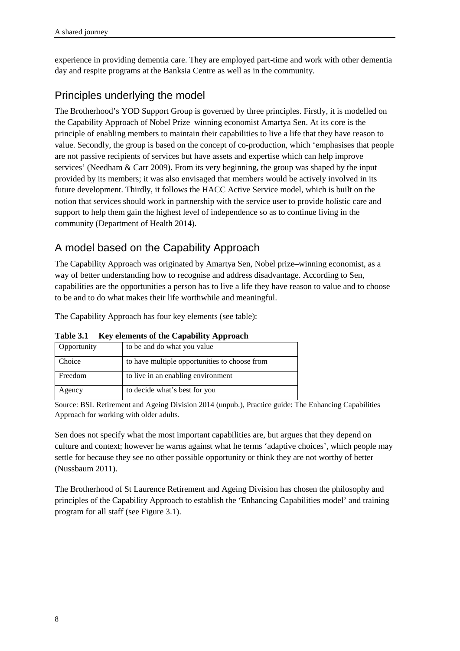experience in providing dementia care. They are employed part-time and work with other dementia day and respite programs at the Banksia Centre as well as in the community.

## Principles underlying the model

The Brotherhood's YOD Support Group is governed by three principles. Firstly, it is modelled on the Capability Approach of Nobel Prize–winning economist Amartya Sen. At its core is the principle of enabling members to maintain their capabilities to live a life that they have reason to value. Secondly, the group is based on the concept of co-production, which 'emphasises that people are not passive recipients of services but have assets and expertise which can help improve services' (Needham & Carr 2009). From its very beginning, the group was shaped by the input provided by its members; it was also envisaged that members would be actively involved in its future development. Thirdly, it follows the HACC Active Service model, which is built on the notion that services should work in partnership with the service user to provide holistic care and support to help them gain the highest level of independence so as to continue living in the community (Department of Health 2014).

## A model based on the Capability Approach

The Capability Approach was originated by Amartya Sen, Nobel prize–winning economist, as a way of better understanding how to recognise and address disadvantage. According to Sen, capabilities are the opportunities a person has to live a life they have reason to value and to choose to be and to do what makes their life worthwhile and meaningful.

The Capability Approach has four key elements (see table):

| Opportunity | to be and do what you value                   |
|-------------|-----------------------------------------------|
| Choice      | to have multiple opportunities to choose from |
| Freedom     | to live in an enabling environment            |
| Agency      | to decide what's best for you                 |

**Table 3.1 Key elements of the Capability Approach**

Source: BSL Retirement and Ageing Division 2014 (unpub.), Practice guide: The Enhancing Capabilities Approach for working with older adults.

Sen does not specify what the most important capabilities are, but argues that they depend on culture and context; however he warns against what he terms 'adaptive choices', which people may settle for because they see no other possible opportunity or think they are not worthy of better (Nussbaum 2011).

The Brotherhood of St Laurence Retirement and Ageing Division has chosen the philosophy and principles of the Capability Approach to establish the 'Enhancing Capabilities model' and training program for all staff (see Figure 3.1).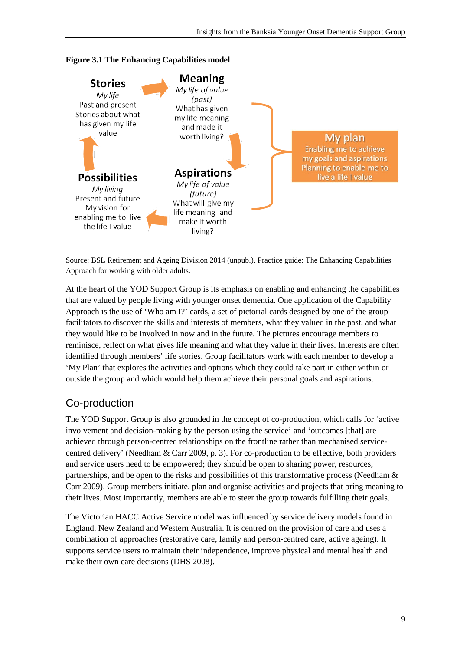



Source: BSL Retirement and Ageing Division 2014 (unpub.), Practice guide: The Enhancing Capabilities Approach for working with older adults.

At the heart of the YOD Support Group is its emphasis on enabling and enhancing the capabilities that are valued by people living with younger onset dementia. One application of the Capability Approach is the use of 'Who am I?' cards, a set of pictorial cards designed by one of the group facilitators to discover the skills and interests of members, what they valued in the past, and what they would like to be involved in now and in the future. The pictures encourage members to reminisce, reflect on what gives life meaning and what they value in their lives. Interests are often identified through members' life stories. Group facilitators work with each member to develop a 'My Plan' that explores the activities and options which they could take part in either within or outside the group and which would help them achieve their personal goals and aspirations.

## Co-production

The YOD Support Group is also grounded in the concept of co-production, which calls for 'active involvement and decision-making by the person using the service' and 'outcomes [that] are achieved through person-centred relationships on the frontline rather than mechanised servicecentred delivery' (Needham & Carr 2009, p. 3). For co-production to be effective, both providers and service users need to be empowered; they should be open to sharing power, resources, partnerships, and be open to the risks and possibilities of this transformative process (Needham & Carr 2009). Group members initiate, plan and organise activities and projects that bring meaning to their lives. Most importantly, members are able to steer the group towards fulfilling their goals.

The Victorian HACC Active Service model was influenced by service delivery models found in England, New Zealand and Western Australia. It is centred on the provision of care and uses a combination of approaches (restorative care, family and person-centred care, active ageing). It supports service users to maintain their independence, improve physical and mental health and make their own care decisions (DHS 2008).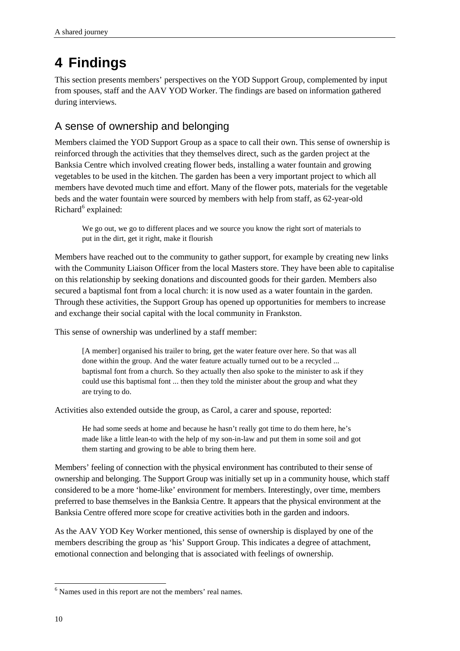# <span id="page-19-0"></span>**4 Findings**

This section presents members' perspectives on the YOD Support Group, complemented by input from spouses, staff and the AAV YOD Worker. The findings are based on information gathered during interviews.

## <span id="page-19-1"></span>A sense of ownership and belonging

Members claimed the YOD Support Group as a space to call their own. This sense of ownership is reinforced through the activities that they themselves direct, such as the garden project at the Banksia Centre which involved creating flower beds, installing a water fountain and growing vegetables to be used in the kitchen. The garden has been a very important project to which all members have devoted much time and effort. Many of the flower pots, materials for the vegetable beds and the water fountain were sourced by members with help from staff, as 62-year-old  $Richard<sup>6</sup> explained:$  $Richard<sup>6</sup> explained:$  $Richard<sup>6</sup> explained:$ 

We go out, we go to different places and we source you know the right sort of materials to put in the dirt, get it right, make it flourish

Members have reached out to the community to gather support, for example by creating new links with the Community Liaison Officer from the local Masters store. They have been able to capitalise on this relationship by seeking donations and discounted goods for their garden. Members also secured a baptismal font from a local church: it is now used as a water fountain in the garden. Through these activities, the Support Group has opened up opportunities for members to increase and exchange their social capital with the local community in Frankston.

This sense of ownership was underlined by a staff member:

[A member] organised his trailer to bring, get the water feature over here. So that was all done within the group. And the water feature actually turned out to be a recycled ... baptismal font from a church. So they actually then also spoke to the minister to ask if they could use this baptismal font ... then they told the minister about the group and what they are trying to do.

Activities also extended outside the group, as Carol, a carer and spouse, reported:

He had some seeds at home and because he hasn't really got time to do them here, he's made like a little lean-to with the help of my son-in-law and put them in some soil and got them starting and growing to be able to bring them here.

Members' feeling of connection with the physical environment has contributed to their sense of ownership and belonging. The Support Group was initially set up in a community house, which staff considered to be a more 'home-like' environment for members. Interestingly, over time, members preferred to base themselves in the Banksia Centre. It appears that the physical environment at the Banksia Centre offered more scope for creative activities both in the garden and indoors.

As the AAV YOD Key Worker mentioned, this sense of ownership is displayed by one of the members describing the group as 'his' Support Group. This indicates a degree of attachment, emotional connection and belonging that is associated with feelings of ownership.

<sup>&</sup>lt;sup>6</sup> Names used in this report are not the members' real names.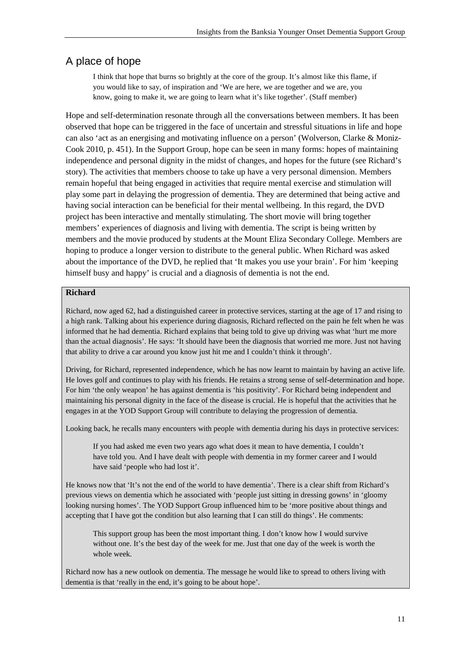## <span id="page-20-0"></span>A place of hope

I think that hope that burns so brightly at the core of the group. It's almost like this flame, if you would like to say, of inspiration and 'We are here, we are together and we are, you know, going to make it, we are going to learn what it's like together'. (Staff member)

Hope and self-determination resonate through all the conversations between members. It has been observed that hope can be triggered in the face of uncertain and stressful situations in life and hope can also 'act as an energising and motivating influence on a person' (Wolverson, Clarke & Moniz-Cook 2010, p. 451). In the Support Group, hope can be seen in many forms: hopes of maintaining independence and personal dignity in the midst of changes, and hopes for the future (see Richard's story). The activities that members choose to take up have a very personal dimension. Members remain hopeful that being engaged in activities that require mental exercise and stimulation will play some part in delaying the progression of dementia. They are determined that being active and having social interaction can be beneficial for their mental wellbeing. In this regard, the DVD project has been interactive and mentally stimulating. The short movie will bring together members' experiences of diagnosis and living with dementia. The script is being written by members and the movie produced by students at the Mount Eliza Secondary College. Members are hoping to produce a longer version to distribute to the general public. When Richard was asked about the importance of the DVD, he replied that 'It makes you use your brain'. For him 'keeping himself busy and happy' is crucial and a diagnosis of dementia is not the end.

#### **Richard**

Richard, now aged 62, had a distinguished career in protective services, starting at the age of 17 and rising to a high rank. Talking about his experience during diagnosis, Richard reflected on the pain he felt when he was informed that he had dementia. Richard explains that being told to give up driving was what 'hurt me more than the actual diagnosis'. He says: 'It should have been the diagnosis that worried me more. Just not having that ability to drive a car around you know just hit me and I couldn't think it through'.

Driving, for Richard, represented independence, which he has now learnt to maintain by having an active life. He loves golf and continues to play with his friends. He retains a strong sense of self-determination and hope. For him 'the only weapon' he has against dementia is 'his positivity'. For Richard being independent and maintaining his personal dignity in the face of the disease is crucial. He is hopeful that the activities that he engages in at the YOD Support Group will contribute to delaying the progression of dementia.

Looking back, he recalls many encounters with people with dementia during his days in protective services:

If you had asked me even two years ago what does it mean to have dementia, I couldn't have told you. And I have dealt with people with dementia in my former career and I would have said 'people who had lost it'.

He knows now that 'It's not the end of the world to have dementia'. There is a clear shift from Richard's previous views on dementia which he associated with 'people just sitting in dressing gowns' in 'gloomy looking nursing homes'. The YOD Support Group influenced him to be 'more positive about things and accepting that I have got the condition but also learning that I can still do things'. He comments:

This support group has been the most important thing. I don't know how I would survive without one. It's the best day of the week for me. Just that one day of the week is worth the whole week.

Richard now has a new outlook on dementia. The message he would like to spread to others living with dementia is that 'really in the end, it's going to be about hope'.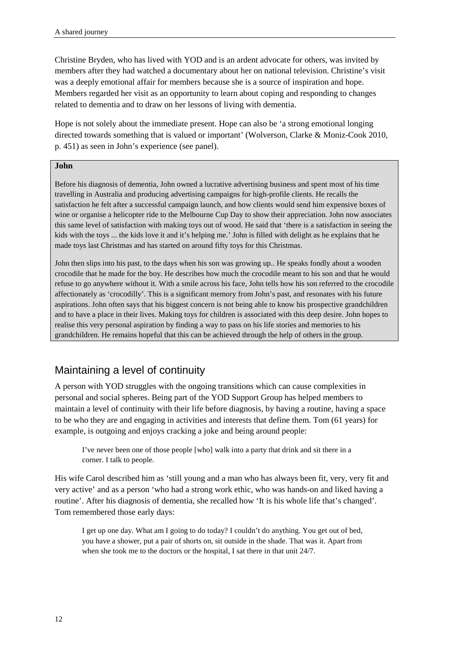Christine Bryden, who has lived with YOD and is an ardent advocate for others, was invited by members after they had watched a documentary about her on national television. Christine's visit was a deeply emotional affair for members because she is a source of inspiration and hope. Members regarded her visit as an opportunity to learn about coping and responding to changes related to dementia and to draw on her lessons of living with dementia.

Hope is not solely about the immediate present. Hope can also be 'a strong emotional longing directed towards something that is valued or important' (Wolverson, Clarke & Moniz-Cook 2010, p. 451) as seen in John's experience (see panel).

#### **John**

Before his diagnosis of dementia, John owned a lucrative advertising business and spent most of his time travelling in Australia and producing advertising campaigns for high-profile clients. He recalls the satisfaction he felt after a successful campaign launch, and how clients would send him expensive boxes of wine or organise a helicopter ride to the Melbourne Cup Day to show their appreciation. John now associates this same level of satisfaction with making toys out of wood. He said that 'there is a satisfaction in seeing the kids with the toys ... the kids love it and it's helping me.' John is filled with delight as he explains that he made toys last Christmas and has started on around fifty toys for this Christmas.

John then slips into his past, to the days when his son was growing up.. He speaks fondly about a wooden crocodile that he made for the boy. He describes how much the crocodile meant to his son and that he would refuse to go anywhere without it. With a smile across his face, John tells how his son referred to the crocodile affectionately as 'crocodilly'. This is a significant memory from John's past, and resonates with his future aspirations. John often says that his biggest concern is not being able to know his prospective grandchildren and to have a place in their lives. Making toys for children is associated with this deep desire. John hopes to realise this very personal aspiration by finding a way to pass on his life stories and memories to his grandchildren. He remains hopeful that this can be achieved through the help of others in the group.

## <span id="page-21-0"></span>Maintaining a level of continuity

A person with YOD struggles with the ongoing transitions which can cause complexities in personal and social spheres. Being part of the YOD Support Group has helped members to maintain a level of continuity with their life before diagnosis, by having a routine, having a space to be who they are and engaging in activities and interests that define them. Tom (61 years) for example, is outgoing and enjoys cracking a joke and being around people:

I've never been one of those people [who] walk into a party that drink and sit there in a corner. I talk to people.

His wife Carol described him as 'still young and a man who has always been fit, very, very fit and very active' and as a person 'who had a strong work ethic, who was hands-on and liked having a routine'. After his diagnosis of dementia, she recalled how 'It is his whole life that's changed'. Tom remembered those early days:

I get up one day. What am I going to do today? I couldn't do anything. You get out of bed, you have a shower, put a pair of shorts on, sit outside in the shade. That was it. Apart from when she took me to the doctors or the hospital, I sat there in that unit 24/7.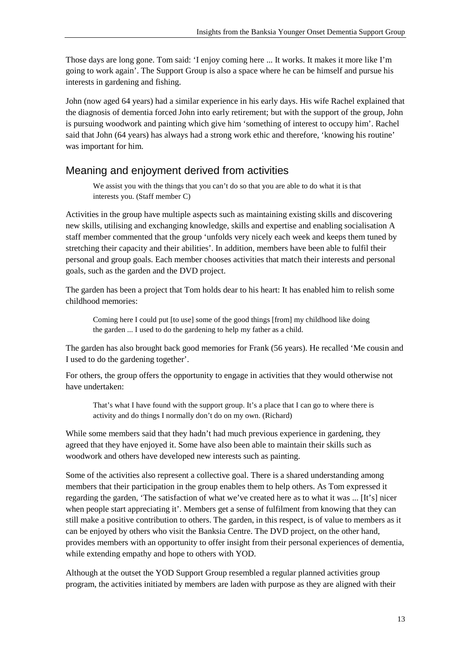Those days are long gone. Tom said: 'I enjoy coming here ... It works. It makes it more like I'm going to work again'. The Support Group is also a space where he can be himself and pursue his interests in gardening and fishing.

John (now aged 64 years) had a similar experience in his early days. His wife Rachel explained that the diagnosis of dementia forced John into early retirement; but with the support of the group, John is pursuing woodwork and painting which give him 'something of interest to occupy him'. Rachel said that John (64 years) has always had a strong work ethic and therefore, 'knowing his routine' was important for him.

#### <span id="page-22-0"></span>Meaning and enjoyment derived from activities

We assist you with the things that you can't do so that you are able to do what it is that interests you. (Staff member C)

Activities in the group have multiple aspects such as maintaining existing skills and discovering new skills, utilising and exchanging knowledge, skills and expertise and enabling socialisation A staff member commented that the group 'unfolds very nicely each week and keeps them tuned by stretching their capacity and their abilities'. In addition, members have been able to fulfil their personal and group goals. Each member chooses activities that match their interests and personal goals, such as the garden and the DVD project.

The garden has been a project that Tom holds dear to his heart: It has enabled him to relish some childhood memories:

Coming here I could put [to use] some of the good things [from] my childhood like doing the garden ... I used to do the gardening to help my father as a child.

The garden has also brought back good memories for Frank (56 years). He recalled 'Me cousin and I used to do the gardening together'.

For others, the group offers the opportunity to engage in activities that they would otherwise not have undertaken:

That's what I have found with the support group. It's a place that I can go to where there is activity and do things I normally don't do on my own. (Richard)

While some members said that they hadn't had much previous experience in gardening, they agreed that they have enjoyed it. Some have also been able to maintain their skills such as woodwork and others have developed new interests such as painting.

Some of the activities also represent a collective goal. There is a shared understanding among members that their participation in the group enables them to help others. As Tom expressed it regarding the garden, 'The satisfaction of what we've created here as to what it was ... [It's] nicer when people start appreciating it'. Members get a sense of fulfilment from knowing that they can still make a positive contribution to others. The garden, in this respect, is of value to members as it can be enjoyed by others who visit the Banksia Centre. The DVD project, on the other hand, provides members with an opportunity to offer insight from their personal experiences of dementia, while extending empathy and hope to others with YOD.

Although at the outset the YOD Support Group resembled a regular planned activities group program, the activities initiated by members are laden with purpose as they are aligned with their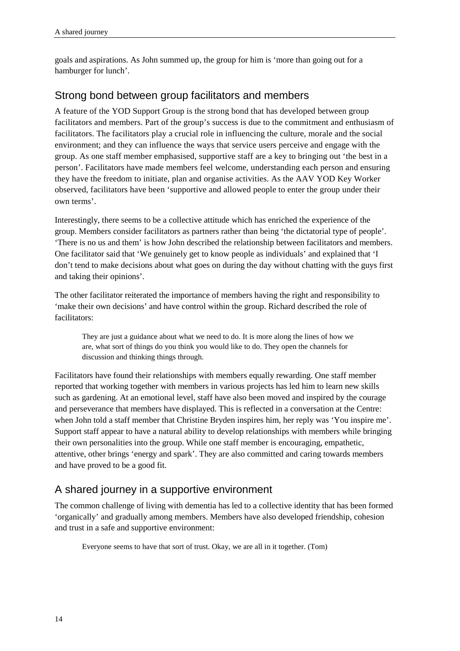goals and aspirations. As John summed up, the group for him is 'more than going out for a hamburger for lunch'.

#### <span id="page-23-0"></span>Strong bond between group facilitators and members

A feature of the YOD Support Group is the strong bond that has developed between group facilitators and members. Part of the group's success is due to the commitment and enthusiasm of facilitators. The facilitators play a crucial role in influencing the culture, morale and the social environment; and they can influence the ways that service users perceive and engage with the group. As one staff member emphasised, supportive staff are a key to bringing out 'the best in a person'. Facilitators have made members feel welcome, understanding each person and ensuring they have the freedom to initiate, plan and organise activities. As the AAV YOD Key Worker observed, facilitators have been 'supportive and allowed people to enter the group under their own terms'.

Interestingly, there seems to be a collective attitude which has enriched the experience of the group. Members consider facilitators as partners rather than being 'the dictatorial type of people'. 'There is no us and them' is how John described the relationship between facilitators and members. One facilitator said that 'We genuinely get to know people as individuals' and explained that 'I don't tend to make decisions about what goes on during the day without chatting with the guys first and taking their opinions'.

The other facilitator reiterated the importance of members having the right and responsibility to 'make their own decisions' and have control within the group. Richard described the role of facilitators:

They are just a guidance about what we need to do. It is more along the lines of how we are, what sort of things do you think you would like to do. They open the channels for discussion and thinking things through.

Facilitators have found their relationships with members equally rewarding. One staff member reported that working together with members in various projects has led him to learn new skills such as gardening. At an emotional level, staff have also been moved and inspired by the courage and perseverance that members have displayed. This is reflected in a conversation at the Centre: when John told a staff member that Christine Bryden inspires him, her reply was 'You inspire me'. Support staff appear to have a natural ability to develop relationships with members while bringing their own personalities into the group. While one staff member is encouraging, empathetic, attentive, other brings 'energy and spark'. They are also committed and caring towards members and have proved to be a good fit.

## <span id="page-23-1"></span>A shared journey in a supportive environment

The common challenge of living with dementia has led to a collective identity that has been formed 'organically' and gradually among members. Members have also developed friendship, cohesion and trust in a safe and supportive environment:

Everyone seems to have that sort of trust. Okay, we are all in it together. (Tom)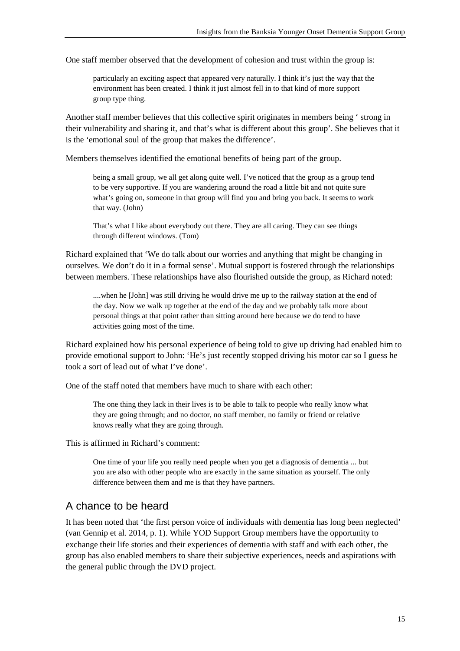One staff member observed that the development of cohesion and trust within the group is:

particularly an exciting aspect that appeared very naturally. I think it's just the way that the environment has been created. I think it just almost fell in to that kind of more support group type thing.

Another staff member believes that this collective spirit originates in members being ' strong in their vulnerability and sharing it, and that's what is different about this group'. She believes that it is the 'emotional soul of the group that makes the difference'.

Members themselves identified the emotional benefits of being part of the group.

being a small group, we all get along quite well. I've noticed that the group as a group tend to be very supportive. If you are wandering around the road a little bit and not quite sure what's going on, someone in that group will find you and bring you back. It seems to work that way. (John)

That's what I like about everybody out there. They are all caring. They can see things through different windows. (Tom)

Richard explained that 'We do talk about our worries and anything that might be changing in ourselves. We don't do it in a formal sense'. Mutual support is fostered through the relationships between members. These relationships have also flourished outside the group, as Richard noted:

....when he [John] was still driving he would drive me up to the railway station at the end of the day. Now we walk up together at the end of the day and we probably talk more about personal things at that point rather than sitting around here because we do tend to have activities going most of the time.

Richard explained how his personal experience of being told to give up driving had enabled him to provide emotional support to John: 'He's just recently stopped driving his motor car so I guess he took a sort of lead out of what I've done'.

One of the staff noted that members have much to share with each other:

The one thing they lack in their lives is to be able to talk to people who really know what they are going through; and no doctor, no staff member, no family or friend or relative knows really what they are going through.

This is affirmed in Richard's comment:

One time of your life you really need people when you get a diagnosis of dementia ... but you are also with other people who are exactly in the same situation as yourself. The only difference between them and me is that they have partners.

#### <span id="page-24-0"></span>A chance to be heard

It has been noted that 'the first person voice of individuals with dementia has long been neglected' (van Gennip et al. 2014, p. 1). While YOD Support Group members have the opportunity to exchange their life stories and their experiences of dementia with staff and with each other, the group has also enabled members to share their subjective experiences, needs and aspirations with the general public through the DVD project.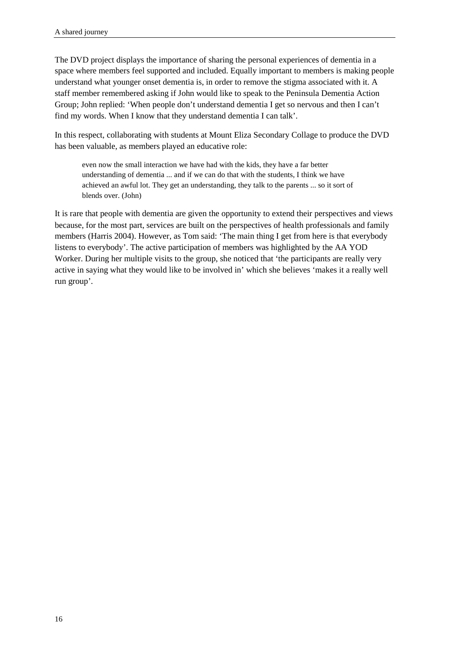The DVD project displays the importance of sharing the personal experiences of dementia in a space where members feel supported and included. Equally important to members is making people understand what younger onset dementia is, in order to remove the stigma associated with it. A staff member remembered asking if John would like to speak to the Peninsula Dementia Action Group; John replied: 'When people don't understand dementia I get so nervous and then I can't find my words. When I know that they understand dementia I can talk'.

In this respect, collaborating with students at Mount Eliza Secondary Collage to produce the DVD has been valuable, as members played an educative role:

even now the small interaction we have had with the kids, they have a far better understanding of dementia ... and if we can do that with the students, I think we have achieved an awful lot. They get an understanding, they talk to the parents ... so it sort of blends over. (John)

It is rare that people with dementia are given the opportunity to extend their perspectives and views because, for the most part, services are built on the perspectives of health professionals and family members (Harris 2004). However, as Tom said: 'The main thing I get from here is that everybody listens to everybody'. The active participation of members was highlighted by the AA YOD Worker. During her multiple visits to the group, she noticed that 'the participants are really very active in saying what they would like to be involved in' which she believes 'makes it a really well run group'.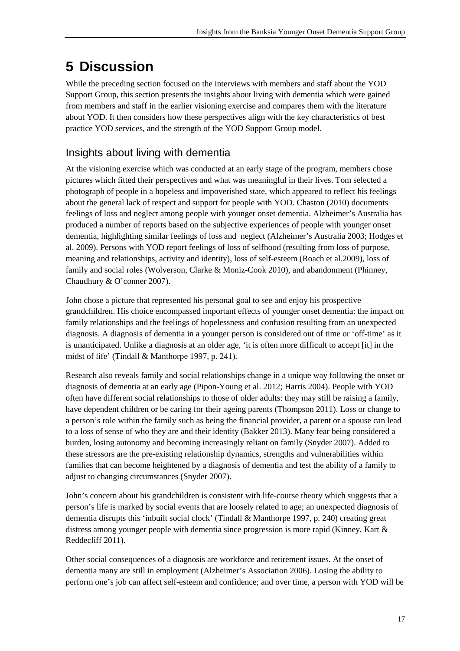# <span id="page-26-0"></span>**5 Discussion**

While the preceding section focused on the interviews with members and staff about the YOD Support Group, this section presents the insights about living with dementia which were gained from members and staff in the earlier visioning exercise and compares them with the literature about YOD. It then considers how these perspectives align with the key characteristics of best practice YOD services, and the strength of the YOD Support Group model.

## <span id="page-26-1"></span>Insights about living with dementia

At the visioning exercise which was conducted at an early stage of the program, members chose pictures which fitted their perspectives and what was meaningful in their lives. Tom selected a photograph of people in a hopeless and impoverished state, which appeared to reflect his feelings about the general lack of respect and support for people with YOD. Chaston (2010) documents feelings of loss and neglect among people with younger onset dementia. Alzheimer's Australia has produced a number of reports based on the subjective experiences of people with younger onset dementia, highlighting similar feelings of loss and neglect (Alzheimer's Australia 2003; Hodges et al. 2009). Persons with YOD report feelings of loss of selfhood (resulting from loss of purpose, meaning and relationships, activity and identity), loss of self-esteem (Roach et al.2009), loss of family and social roles (Wolverson, Clarke & Moniz-Cook 2010), and abandonment (Phinney, Chaudhury & O'conner 2007).

John chose a picture that represented his personal goal to see and enjoy his prospective grandchildren. His choice encompassed important effects of younger onset dementia: the impact on family relationships and the feelings of hopelessness and confusion resulting from an unexpected diagnosis. A diagnosis of dementia in a younger person is considered out of time or 'off-time' as it is unanticipated. Unlike a diagnosis at an older age, 'it is often more difficult to accept [it] in the midst of life' (Tindall & Manthorpe 1997, p. 241).

Research also reveals family and social relationships change in a unique way following the onset or diagnosis of dementia at an early age (Pipon-Young et al. 2012; Harris 2004). People with YOD often have different social relationships to those of older adults: they may still be raising a family, have dependent children or be caring for their ageing parents (Thompson 2011). Loss or change to a person's role within the family such as being the financial provider, a parent or a spouse can lead to a loss of sense of who they are and their identity (Bakker 2013). Many fear being considered a burden, losing autonomy and becoming increasingly reliant on family (Snyder 2007). Added to these stressors are the pre-existing relationship dynamics, strengths and vulnerabilities within families that can become heightened by a diagnosis of dementia and test the ability of a family to adjust to changing circumstances (Snyder 2007).

John's concern about his grandchildren is consistent with life-course theory which suggests that a person's life is marked by social events that are loosely related to age; an unexpected diagnosis of dementia disrupts this 'inbuilt social clock' (Tindall & Manthorpe 1997, p. 240) creating great distress among younger people with dementia since progression is more rapid (Kinney, Kart  $\&$ Reddecliff 2011).

Other social consequences of a diagnosis are workforce and retirement issues. At the onset of dementia many are still in employment (Alzheimer's Association 2006). Losing the ability to perform one's job can affect self-esteem and confidence; and over time, a person with YOD will be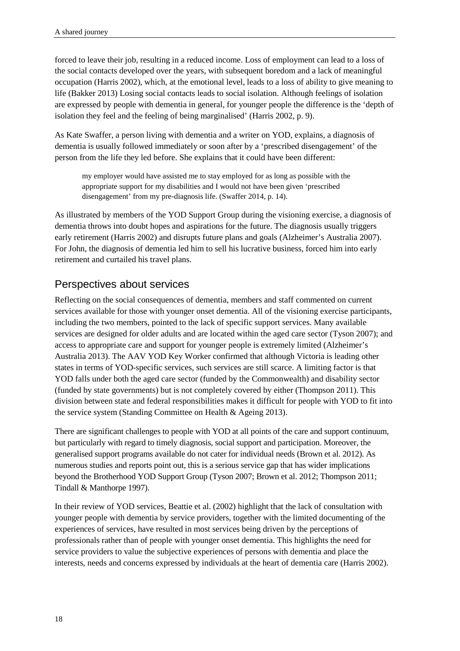forced to leave their job, resulting in a reduced income. Loss of employment can lead to a loss of the social contacts developed over the years, with subsequent boredom and a lack of meaningful occupation (Harris 2002), which, at the emotional level, leads to a loss of ability to give meaning to life (Bakker 2013) Losing social contacts leads to social isolation. Although feelings of isolation are expressed by people with dementia in general, for younger people the difference is the 'depth of isolation they feel and the feeling of being marginalised' (Harris 2002, p. 9).

As Kate Swaffer, a person living with dementia and a writer on YOD, explains, a diagnosis of dementia is usually followed immediately or soon after by a 'prescribed disengagement' of the person from the life they led before. She explains that it could have been different:

my employer would have assisted me to stay employed for as long as possible with the appropriate support for my disabilities and I would not have been given 'prescribed disengagement' from my pre-diagnosis life. (Swaffer 2014, p. 14).

As illustrated by members of the YOD Support Group during the visioning exercise, a diagnosis of dementia throws into doubt hopes and aspirations for the future. The diagnosis usually triggers early retirement (Harris 2002) and disrupts future plans and goals (Alzheimer's Australia 2007). For John, the diagnosis of dementia led him to sell his lucrative business, forced him into early retirement and curtailed his travel plans.

#### <span id="page-27-0"></span>Perspectives about services

Reflecting on the social consequences of dementia, members and staff commented on current services available for those with younger onset dementia. All of the visioning exercise participants, including the two members, pointed to the lack of specific support services. Many available services are designed for older adults and are located within the aged care sector (Tyson 2007); and access to appropriate care and support for younger people is extremely limited (Alzheimer's Australia 2013). The AAV YOD Key Worker confirmed that although Victoria is leading other states in terms of YOD-specific services, such services are still scarce. A limiting factor is that YOD falls under both the aged care sector (funded by the Commonwealth) and disability sector (funded by state governments) but is not completely covered by either (Thompson 2011). This division between state and federal responsibilities makes it difficult for people with YOD to fit into the service system (Standing Committee on Health & Ageing 2013).

There are significant challenges to people with YOD at all points of the care and support continuum, but particularly with regard to timely diagnosis, social support and participation. Moreover, the generalised support programs available do not cater for individual needs (Brown et al. 2012). As numerous studies and reports point out, this is a serious service gap that has wider implications beyond the Brotherhood YOD Support Group (Tyson 2007; Brown et al. 2012; Thompson 2011; Tindall & Manthorpe 1997).

In their review of YOD services, Beattie et al. (2002) highlight that the lack of consultation with younger people with dementia by service providers, together with the limited documenting of the experiences of services, have resulted in most services being driven by the perceptions of professionals rather than of people with younger onset dementia. This highlights the need for service providers to value the subjective experiences of persons with dementia and place the interests, needs and concerns expressed by individuals at the heart of dementia care (Harris 2002).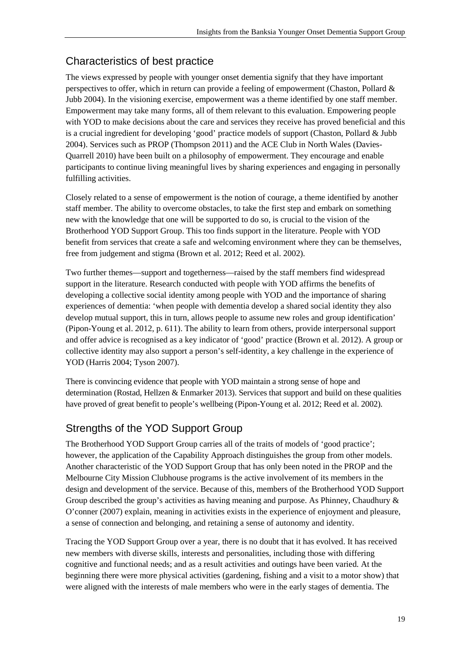## <span id="page-28-0"></span>Characteristics of best practice

The views expressed by people with younger onset dementia signify that they have important perspectives to offer, which in return can provide a feeling of empowerment (Chaston, Pollard & Jubb 2004). In the visioning exercise, empowerment was a theme identified by one staff member. Empowerment may take many forms, all of them relevant to this evaluation. Empowering people with YOD to make decisions about the care and services they receive has proved beneficial and this is a crucial ingredient for developing 'good' practice models of support (Chaston, Pollard & Jubb 2004). Services such as PROP (Thompson 2011) and the ACE Club in North Wales (Davies-Quarrell 2010) have been built on a philosophy of empowerment. They encourage and enable participants to continue living meaningful lives by sharing experiences and engaging in personally fulfilling activities.

Closely related to a sense of empowerment is the notion of courage, a theme identified by another staff member. The ability to overcome obstacles, to take the first step and embark on something new with the knowledge that one will be supported to do so, is crucial to the vision of the Brotherhood YOD Support Group. This too finds support in the literature. People with YOD benefit from services that create a safe and welcoming environment where they can be themselves, free from judgement and stigma (Brown et al. 2012; Reed et al. 2002).

Two further themes—support and togetherness—raised by the staff members find widespread support in the literature. Research conducted with people with YOD affirms the benefits of developing a collective social identity among people with YOD and the importance of sharing experiences of dementia: 'when people with dementia develop a shared social identity they also develop mutual support, this in turn, allows people to assume new roles and group identification' (Pipon-Young et al. 2012, p. 611). The ability to learn from others, provide interpersonal support and offer advice is recognised as a key indicator of 'good' practice (Brown et al. 2012). A group or collective identity may also support a person's self-identity, a key challenge in the experience of YOD (Harris 2004; Tyson 2007).

There is convincing evidence that people with YOD maintain a strong sense of hope and determination (Rostad, Hellzen & Enmarker 2013). Services that support and build on these qualities have proved of great benefit to people's wellbeing (Pipon-Young et al. 2012; Reed et al. 2002).

## <span id="page-28-1"></span>Strengths of the YOD Support Group

The Brotherhood YOD Support Group carries all of the traits of models of 'good practice'; however, the application of the Capability Approach distinguishes the group from other models. Another characteristic of the YOD Support Group that has only been noted in the PROP and the Melbourne City Mission Clubhouse programs is the active involvement of its members in the design and development of the service. Because of this, members of the Brotherhood YOD Support Group described the group's activities as having meaning and purpose. As Phinney, Chaudhury & O'conner (2007) explain, meaning in activities exists in the experience of enjoyment and pleasure, a sense of connection and belonging, and retaining a sense of autonomy and identity.

Tracing the YOD Support Group over a year, there is no doubt that it has evolved. It has received new members with diverse skills, interests and personalities, including those with differing cognitive and functional needs; and as a result activities and outings have been varied. At the beginning there were more physical activities (gardening, fishing and a visit to a motor show) that were aligned with the interests of male members who were in the early stages of dementia. The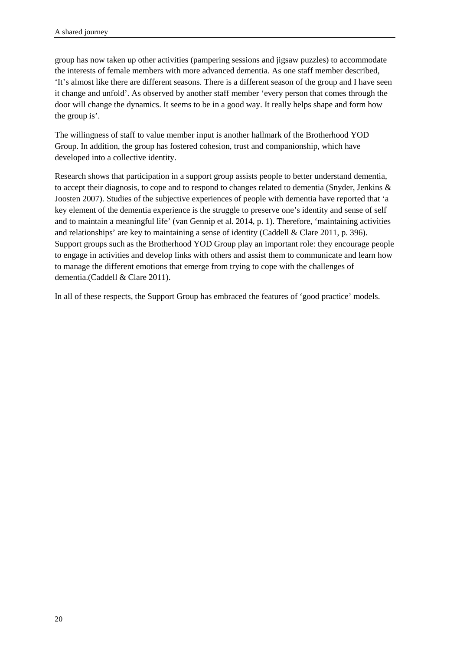group has now taken up other activities (pampering sessions and jigsaw puzzles) to accommodate the interests of female members with more advanced dementia. As one staff member described, 'It's almost like there are different seasons. There is a different season of the group and I have seen it change and unfold'. As observed by another staff member 'every person that comes through the door will change the dynamics. It seems to be in a good way. It really helps shape and form how the group is'.

The willingness of staff to value member input is another hallmark of the Brotherhood YOD Group. In addition, the group has fostered cohesion, trust and companionship, which have developed into a collective identity.

Research shows that participation in a support group assists people to better understand dementia, to accept their diagnosis, to cope and to respond to changes related to dementia (Snyder, Jenkins & Joosten 2007). Studies of the subjective experiences of people with dementia have reported that 'a key element of the dementia experience is the struggle to preserve one's identity and sense of self and to maintain a meaningful life' (van Gennip et al. 2014, p. 1). Therefore, 'maintaining activities and relationships' are key to maintaining a sense of identity (Caddell & Clare 2011, p. 396). Support groups such as the Brotherhood YOD Group play an important role: they encourage people to engage in activities and develop links with others and assist them to communicate and learn how to manage the different emotions that emerge from trying to cope with the challenges of dementia.(Caddell & Clare 2011).

In all of these respects, the Support Group has embraced the features of 'good practice' models.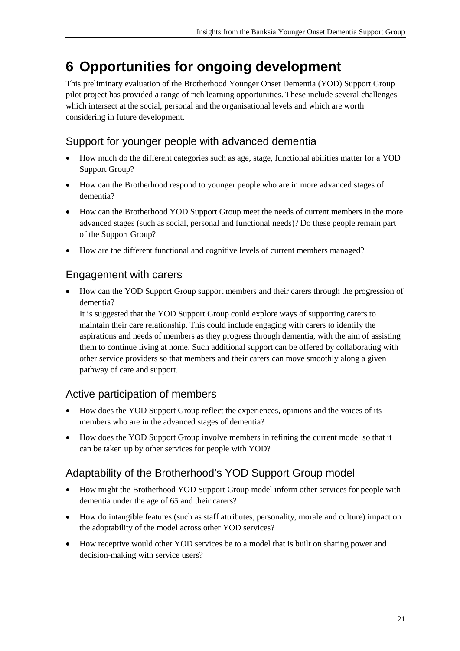# <span id="page-30-0"></span>**6 Opportunities for ongoing development**

This preliminary evaluation of the Brotherhood Younger Onset Dementia (YOD) Support Group pilot project has provided a range of rich learning opportunities. These include several challenges which intersect at the social, personal and the organisational levels and which are worth considering in future development.

## Support for younger people with advanced dementia

- How much do the different categories such as age, stage, functional abilities matter for a YOD Support Group?
- How can the Brotherhood respond to younger people who are in more advanced stages of dementia?
- How can the Brotherhood YOD Support Group meet the needs of current members in the more advanced stages (such as social, personal and functional needs)? Do these people remain part of the Support Group?
- How are the different functional and cognitive levels of current members managed?

## Engagement with carers

• How can the YOD Support Group support members and their carers through the progression of dementia?

It is suggested that the YOD Support Group could explore ways of supporting carers to maintain their care relationship. This could include engaging with carers to identify the aspirations and needs of members as they progress through dementia, with the aim of assisting them to continue living at home. Such additional support can be offered by collaborating with other service providers so that members and their carers can move smoothly along a given pathway of care and support.

## Active participation of members

- How does the YOD Support Group reflect the experiences, opinions and the voices of its members who are in the advanced stages of dementia?
- How does the YOD Support Group involve members in refining the current model so that it can be taken up by other services for people with YOD?

## Adaptability of the Brotherhood's YOD Support Group model

- How might the Brotherhood YOD Support Group model inform other services for people with dementia under the age of 65 and their carers?
- How do intangible features (such as staff attributes, personality, morale and culture) impact on the adoptability of the model across other YOD services?
- How receptive would other YOD services be to a model that is built on sharing power and decision-making with service users?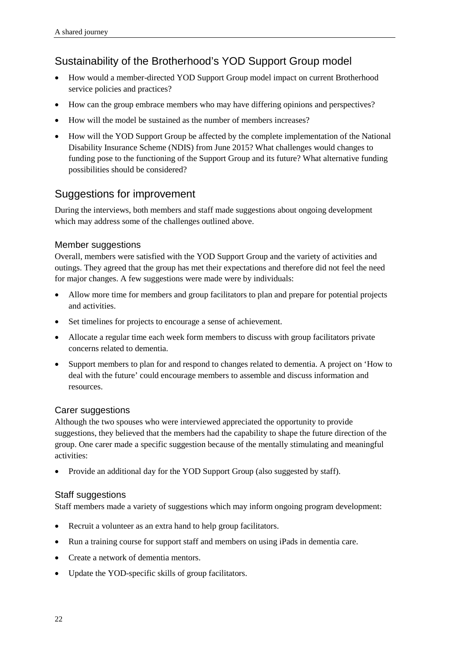## Sustainability of the Brotherhood's YOD Support Group model

- How would a member-directed YOD Support Group model impact on current Brotherhood service policies and practices?
- How can the group embrace members who may have differing opinions and perspectives?
- How will the model be sustained as the number of members increases?
- How will the YOD Support Group be affected by the complete implementation of the National Disability Insurance Scheme (NDIS) from June 2015? What challenges would changes to funding pose to the functioning of the Support Group and its future? What alternative funding possibilities should be considered?

#### Suggestions for improvement

During the interviews, both members and staff made suggestions about ongoing development which may address some of the challenges outlined above.

#### Member suggestions

Overall, members were satisfied with the YOD Support Group and the variety of activities and outings. They agreed that the group has met their expectations and therefore did not feel the need for major changes. A few suggestions were made were by individuals:

- Allow more time for members and group facilitators to plan and prepare for potential projects and activities.
- Set timelines for projects to encourage a sense of achievement.
- Allocate a regular time each week form members to discuss with group facilitators private concerns related to dementia.
- Support members to plan for and respond to changes related to dementia. A project on 'How to deal with the future' could encourage members to assemble and discuss information and resources.

#### Carer suggestions

Although the two spouses who were interviewed appreciated the opportunity to provide suggestions, they believed that the members had the capability to shape the future direction of the group. One carer made a specific suggestion because of the mentally stimulating and meaningful activities:

• Provide an additional day for the YOD Support Group (also suggested by staff).

#### Staff suggestions

Staff members made a variety of suggestions which may inform ongoing program development:

- Recruit a volunteer as an extra hand to help group facilitators.
- Run a training course for support staff and members on using iPads in dementia care.
- Create a network of dementia mentors.
- Update the YOD-specific skills of group facilitators.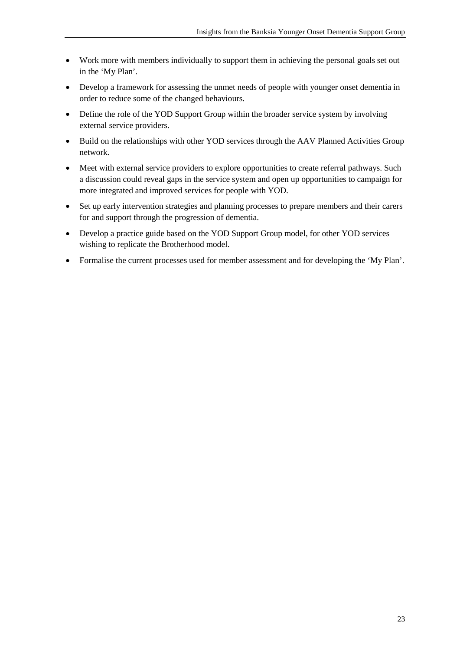- Work more with members individually to support them in achieving the personal goals set out in the 'My Plan'.
- Develop a framework for assessing the unmet needs of people with younger onset dementia in order to reduce some of the changed behaviours.
- Define the role of the YOD Support Group within the broader service system by involving external service providers.
- Build on the relationships with other YOD services through the AAV Planned Activities Group network.
- Meet with external service providers to explore opportunities to create referral pathways. Such a discussion could reveal gaps in the service system and open up opportunities to campaign for more integrated and improved services for people with YOD.
- Set up early intervention strategies and planning processes to prepare members and their carers for and support through the progression of dementia.
- Develop a practice guide based on the YOD Support Group model, for other YOD services wishing to replicate the Brotherhood model.
- Formalise the current processes used for member assessment and for developing the 'My Plan'.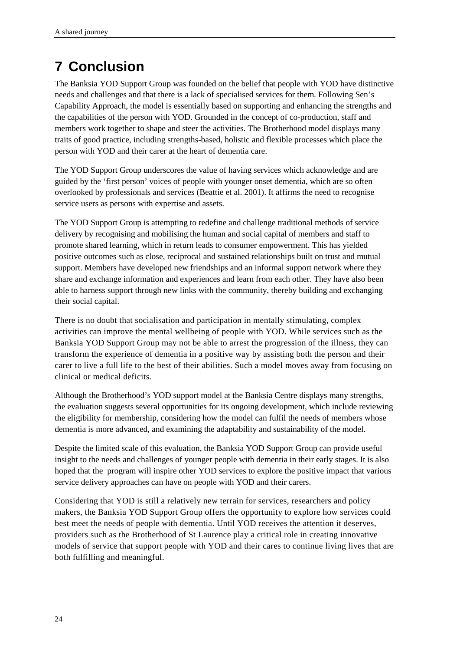# <span id="page-33-0"></span>**7 Conclusion**

The Banksia YOD Support Group was founded on the belief that people with YOD have distinctive needs and challenges and that there is a lack of specialised services for them. Following Sen's Capability Approach, the model is essentially based on supporting and enhancing the strengths and the capabilities of the person with YOD. Grounded in the concept of co-production, staff and members work together to shape and steer the activities. The Brotherhood model displays many traits of good practice, including strengths-based, holistic and flexible processes which place the person with YOD and their carer at the heart of dementia care.

The YOD Support Group underscores the value of having services which acknowledge and are guided by the 'first person' voices of people with younger onset dementia, which are so often overlooked by professionals and services (Beattie et al. 2001). It affirms the need to recognise service users as persons with expertise and assets.

The YOD Support Group is attempting to redefine and challenge traditional methods of service delivery by recognising and mobilising the human and social capital of members and staff to promote shared learning, which in return leads to consumer empowerment. This has yielded positive outcomes such as close, reciprocal and sustained relationships built on trust and mutual support. Members have developed new friendships and an informal support network where they share and exchange information and experiences and learn from each other. They have also been able to harness support through new links with the community, thereby building and exchanging their social capital.

There is no doubt that socialisation and participation in mentally stimulating, complex activities can improve the mental wellbeing of people with YOD. While services such as the Banksia YOD Support Group may not be able to arrest the progression of the illness, they can transform the experience of dementia in a positive way by assisting both the person and their carer to live a full life to the best of their abilities. Such a model moves away from focusing on clinical or medical deficits.

Although the Brotherhood's YOD support model at the Banksia Centre displays many strengths, the evaluation suggests several opportunities for its ongoing development, which include reviewing the eligibility for membership, considering how the model can fulfil the needs of members whose dementia is more advanced, and examining the adaptability and sustainability of the model.

Despite the limited scale of this evaluation, the Banksia YOD Support Group can provide useful insight to the needs and challenges of younger people with dementia in their early stages. It is also hoped that the program will inspire other YOD services to explore the positive impact that various service delivery approaches can have on people with YOD and their carers.

Considering that YOD is still a relatively new terrain for services, researchers and policy makers, the Banksia YOD Support Group offers the opportunity to explore how services could best meet the needs of people with dementia. Until YOD receives the attention it deserves, providers such as the Brotherhood of St Laurence play a critical role in creating innovative models of service that support people with YOD and their cares to continue living lives that are both fulfilling and meaningful.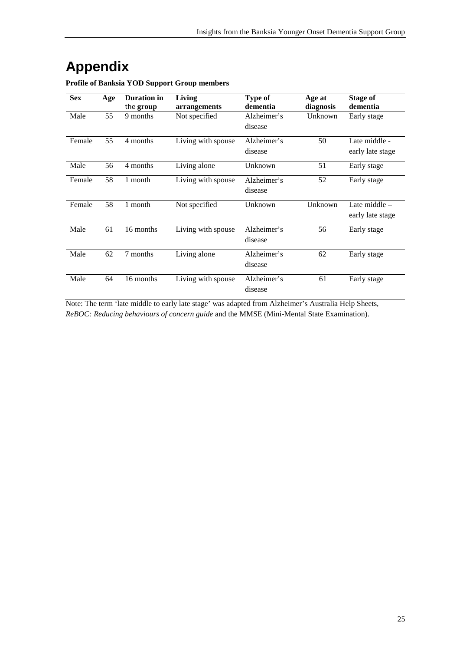# <span id="page-34-0"></span>**Appendix**

| <b>Sex</b> | Age | <b>Duration</b> in<br>the group | Living<br>arrangements | Type of<br>dementia    | Age at<br>diagnosis | Stage of<br>dementia              |
|------------|-----|---------------------------------|------------------------|------------------------|---------------------|-----------------------------------|
| Male       | 55  | 9 months                        | Not specified          | Alzheimer's<br>disease | Unknown             | Early stage                       |
| Female     | 55  | 4 months                        | Living with spouse     | Alzheimer's<br>disease | 50                  | Late middle -<br>early late stage |
| Male       | 56  | 4 months                        | Living alone           | Unknown                | 51                  | Early stage                       |
| Female     | 58  | 1 month                         | Living with spouse     | Alzheimer's<br>disease | 52                  | Early stage                       |
| Female     | 58  | 1 month                         | Not specified          | Unknown                | Unknown             | Late middle -<br>early late stage |
| Male       | 61  | 16 months                       | Living with spouse     | Alzheimer's<br>disease | 56                  | Early stage                       |
| Male       | 62  | 7 months                        | Living alone           | Alzheimer's<br>disease | 62                  | Early stage                       |
| Male       | 64  | 16 months                       | Living with spouse     | Alzheimer's<br>disease | 61                  | Early stage                       |

**Profile of Banksia YOD Support Group members**

Note: The term 'late middle to early late stage' was adapted from Alzheimer's Australia Help Sheets, *ReBOC: Reducing behaviours of concern guide* and the MMSE (Mini-Mental State Examination).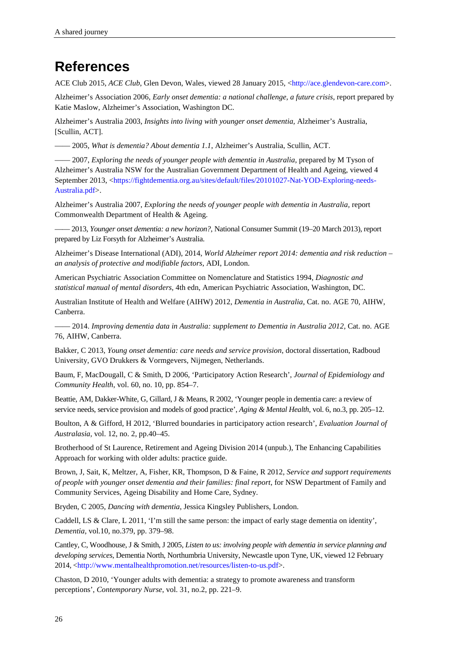## <span id="page-35-0"></span>**References**

ACE Club 2015, *ACE Club*, Glen Devon, Wales, viewed 28 January 2015, [<http://ace.glendevon-care.com>](http://ace.glendevon-care.com/).

Alzheimer's Association 2006, *Early onset dementia: a national challenge, a future crisis*, report prepared by Katie Maslow, Alzheimer's Association, Washington DC.

Alzheimer's Australia 2003, *Insights into living with younger onset dementia,* Alzheimer's Australia, [Scullin, ACT].

—— 2005, *What is dementia? About dementia 1.1*, Alzheimer's Australia, Scullin, ACT.

—— 2007, *Exploring the needs of younger people with dementia in Australia*, prepared by M Tyson of Alzheimer's Australia NSW for the Australian Government Department of Health and Ageing, viewed 4 September 2013, [<https://fightdementia.org.au/sites/default/files/20101027-Nat-YOD-Exploring-needs-](https://fightdementia.org.au/sites/default/files/20101027-Nat-YOD-Exploring-needs-Australia.pdf)[Australia.pdf>](https://fightdementia.org.au/sites/default/files/20101027-Nat-YOD-Exploring-needs-Australia.pdf).

Alzheimer's Australia 2007, *Exploring the needs of younger people with dementia in Australia,* report Commonwealth Department of Health & Ageing.

—— 2013, *Younger onset dementia: a new horizon?*, National Consumer Summit (19–20 March 2013), report prepared by Liz Forsyth for Alzheimer's Australia.

Alzheimer's Disease International (ADI), 2014, *World Alzheimer report 2014: dementia and risk reduction – an analysis of protective and modifiable factors*, ADI, London.

American Psychiatric Association Committee on Nomenclature and Statistics 1994, *Diagnostic and statistical manual of mental disorders,* 4th edn, American Psychiatric Association, Washington, DC.

Australian Institute of Health and Welfare (AIHW) 2012, *Dementia in Australia*, Cat. no. AGE 70, AIHW, Canberra.

—— 2014. *Improving dementia data in Australia: supplement to Dementia in Australia 2012,* Cat. no. AGE 76, AIHW, Canberra.

Bakker, C 2013, *Young onset dementia: care needs and service provision*, doctoral dissertation, Radboud University, GVO Drukkers & Vormgevers, Nijmegen, Netherlands.

Baum, F, MacDougall, C & Smith, D 2006, 'Participatory Action Research', *Journal of Epidemiology and Community Health*, vol. 60, no. 10, pp. 854–7.

Beattie, AM, Dakker-White, G, Gillard, J & Means, R 2002, 'Younger people in dementia care: a review of service needs, service provision and models of good practice', *Aging & Mental Health*, vol. 6, no.3, pp. 205–12.

Boulton, A & Gifford, H 2012, 'Blurred boundaries in participatory action research', *Evaluation Journal of Australasia,* vol. 12, no. 2, pp.40–45.

Brotherhood of St Laurence, Retirement and Ageing Division 2014 (unpub.), The Enhancing Capabilities Approach for working with older adults: practice guide.

Brown, J, Sait, K, Meltzer, A, Fisher, KR, Thompson, D & Faine, R 2012, *Service and support requirements of people with younger onset dementia and their families: final report*, for NSW Department of Family and Community Services, Ageing Disability and Home Care, Sydney.

Bryden, C 2005, *Dancing with dementia*, Jessica Kingsley Publishers, London.

Caddell, LS & Clare, L 2011, 'I'm still the same person: the impact of early stage dementia on identity', *Dementia*, vol.10, no.379, pp. 379–98.

Cantley, C, Woodhouse, J & Smith, J 2005, *Listen to us: involving people with dementia in service planning and developing services*, Dementia North, Northumbria University, Newcastle upon Tyne, UK, viewed 12 February 2014, [<http://www.mentalhealthpromotion.net/resources/listen-to-us.pdf>](http://www.mentalhealthpromotion.net/resources/listen-to-us.pdf).

Chaston, D 2010, 'Younger adults with dementia: a strategy to promote awareness and transform perceptions', *Contemporary Nurse*, vol. 31, no.2, pp. 221–9.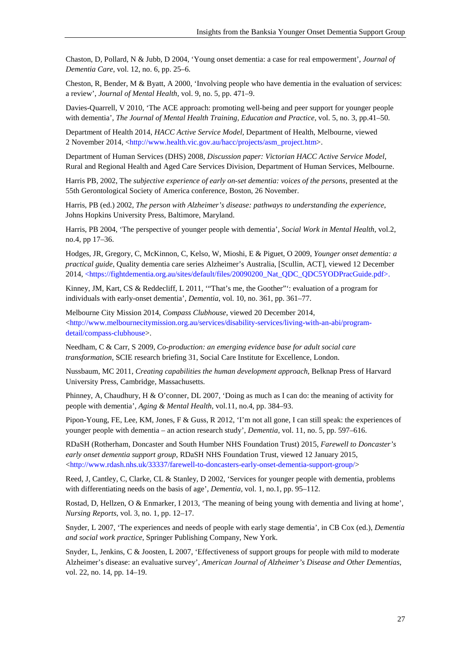Chaston, D, Pollard, N & Jubb, D 2004, 'Young onset dementia: a case for real empowerment', *Journal of Dementia Care*, vol. 12, no. 6, pp. 25–6.

Cheston, R, Bender, M & Byatt, A 2000, 'Involving people who have dementia in the evaluation of services: a review', *Journal of Mental Health*, vol. 9, no. 5, pp. 471–9.

Davies-Quarrell, V 2010, 'The ACE approach: promoting well-being and peer support for younger people with dementia', *The Journal of Mental Health Training, Education and Practice*, vol. 5, no. 3, pp.41–50.

Department of Health 2014, *HACC Active Service Model,* Department of Health, Melbourne, viewed 2 November 2014, [<http://www.health.vic.gov.au/hacc/projects/asm\\_project.htm>](http://www.health.vic.gov.au/hacc/projects/asm_project.htm).

Department of Human Services (DHS) 2008, *Discussion paper: Victorian HACC Active Service Model*, Rural and Regional Health and Aged Care Services Division, Department of Human Services, Melbourne.

Harris PB, 2002, The *subjective experience of early on-set dementia: voices of the persons*, presented at the 55th Gerontological Society of America conference, Boston, 26 November.

Harris, PB (ed.) 2002, *The person with Alzheimer's disease: pathways to understanding the experience*, Johns Hopkins University Press, Baltimore, Maryland.

Harris, PB 2004, 'The perspective of younger people with dementia', *Social Work in Mental Health*, vol.2, no.4, pp 17–36.

Hodges, JR, Gregory, C, McKinnon, C, Kelso, W, Mioshi, E & Piguet, O 2009, *Younger onset dementia: a practical guide*, Quality dementia care series Alzheimer's Australia, [Scullin, ACT], viewed 12 December 2014, [<https://fightdementia.org.au/sites/default/files/20090200\\_Nat\\_QDC\\_QDC5YODPracGuide.pdf>](https://fightdementia.org.au/sites/default/files/20090200_Nat_QDC_QDC5YODPracGuide.pdf).

Kinney, JM, Kart, CS & Reddecliff, L 2011, '"That's me, the Goother"': evaluation of a program for individuals with early-onset dementia', *Dementia*, vol. 10, no. 361, pp. 361–77.

Melbourne City Mission 2014, *Compass Clubhouse*, viewed 20 December 2014, [<http://www.melbournecitymission.org.au/services/disability-services/living-with-an-abi/program](http://www.melbournecitymission.org.au/services/disability-services/living-with-an-abi/program-detail/compass-clubhouse)[detail/compass-clubhouse>](http://www.melbournecitymission.org.au/services/disability-services/living-with-an-abi/program-detail/compass-clubhouse).

Needham, C & Carr, S 2009, *Co-production: an emerging evidence base for adult social care transformation,* SCIE research briefing 31, Social Care Institute for Excellence, London.

Nussbaum, MC 2011, *Creating capabilities the human development approach*, Belknap Press of Harvard University Press, Cambridge, Massachusetts.

Phinney, A, Chaudhury, H & O'conner, DL 2007, 'Doing as much as I can do: the meaning of activity for people with dementia', *Aging & Mental Health*, vol.11, no.4, pp. 384–93.

Pipon-Young, FE, Lee, KM, Jones, F & Guss, R 2012, 'I'm not all gone, I can still speak: the experiences of younger people with dementia – an action research study', *Dementia,* vol. 11, no. 5, pp. 597–616.

RDaSH (Rotherham, Doncaster and South Humber NHS Foundation Trust) 2015, *Farewell to Doncaster's early onset dementia support group*, RDaSH NHS Foundation Trust, viewed 12 January 2015, [<http://www.rdash.nhs.uk/33337/farewell-to-doncasters-early-onset-dementia-support-group/>](http://www.rdash.nhs.uk/33337/farewell-to-doncasters-early-onset-dementia-support-group/)

Reed, J, Cantley, C, Clarke, CL & Stanley, D 2002, 'Services for younger people with dementia, problems with differentiating needs on the basis of age', *Dementia*, vol. 1, no.1, pp. 95–112.

Rostad, D, Hellzen, O & Enmarker, I 2013, 'The meaning of being young with dementia and living at home', *Nursing Reports*, vol. 3, no. 1, pp. 12–17.

Snyder, L 2007, 'The experiences and needs of people with early stage dementia', in CB Cox (ed.), *Dementia and social work practice*, Springer Publishing Company, New York.

Snyder, L, Jenkins, C & Joosten, L 2007, 'Effectiveness of support groups for people with mild to moderate Alzheimer's disease: an evaluative survey', *American Journal of Alzheimer's Disease and Other Dementias*, vol. 22, no. 14, pp. 14–19.